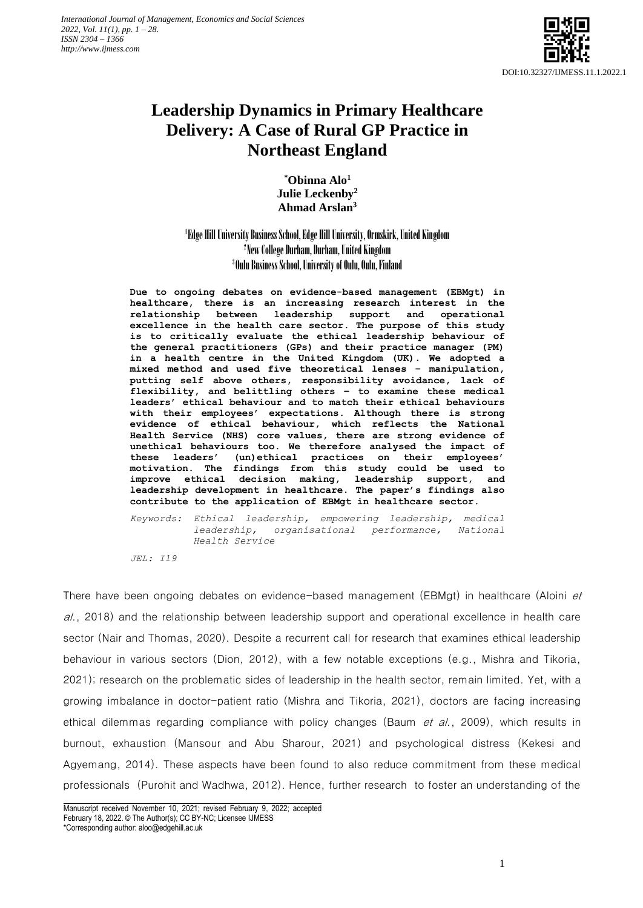

# **Leadership Dynamics in Primary Healthcare Delivery: A Case of Rural GP Practice in Northeast England**

**\*Obinna Alo<sup>1</sup> Julie Leckenby<sup>2</sup> Ahmad Arslan<sup>3</sup>**

# 1 Edge Hill University Business School, Edge Hill University, Ormskirk, United Kingdom 2 New College Durham, Durham, United Kingdom 3 Oulu Business School, University of Oulu, Oulu, Finland

**Due to ongoing debates on evidence-based management (EBMgt) in healthcare, there is an increasing research interest in the relationship between leadership support and operational excellence in the health care sector. The purpose of this study is to critically evaluate the ethical leadership behaviour of the general practitioners (GPs) and their practice manager (PM) in a health centre in the United Kingdom (UK). We adopted a mixed method and used five theoretical lenses – manipulation, putting self above others, responsibility avoidance, lack of flexibility, and belittling others – to examine these medical leaders' ethical behaviour and to match their ethical behaviours with their employees' expectations. Although there is strong evidence of ethical behaviour, which reflects the National Health Service (NHS) core values, there are strong evidence of unethical behaviours too. We therefore analysed the impact of these leaders' (un)ethical practices on their employees' motivation. The findings from this study could be used to improve ethical decision making, leadership support, and leadership development in healthcare. The paper's findings also contribute to the application of EBMgt in healthcare sector.**

*Keywords: Ethical leadership, empowering leadership, medical leadership, organisational performance, National Health Service*

*JEL: I19*

There have been ongoing debates on evidence-based management (EBMgt) in healthcare (Aloini et al., 2018) and the relationship between leadership support and operational excellence in health care sector (Nair and Thomas, 2020). Despite a recurrent call for research that examines ethical leadership behaviour in various sectors (Dion, 2012), with a few notable exceptions (e.g., Mishra and Tikoria, 2021); research on the problematic sides of leadership in the health sector, remain limited. Yet, with a growing imbalance in doctor-patient ratio (Mishra and Tikoria, 2021), doctors are facing increasing ethical dilemmas regarding compliance with policy changes (Baum *et al.*, 2009), which results in burnout, exhaustion (Mansour and Abu Sharour, 2021) and psychological distress (Kekesi and Agyemang, 2014). These aspects have been found to also reduce commitment from these medical professionals (Purohit and Wadhwa, 2012). Hence, further research to foster an understanding of the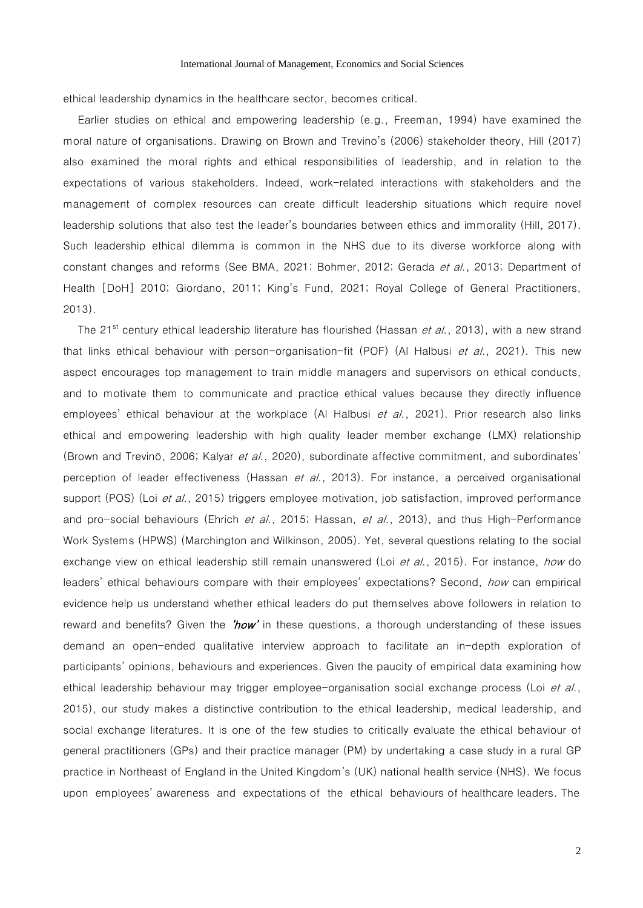ethical leadership dynamics in the healthcare sector, becomes critical.

Earlier studies on ethical and empowering leadership (e.g., Freeman, 1994) have examined the moral nature of organisations. Drawing on Brown and Trevino's (2006) stakeholder theory, Hill (2017) also examined the moral rights and ethical responsibilities of leadership, and in relation to the expectations of various stakeholders. Indeed, work-related interactions with stakeholders and the management of complex resources can create difficult leadership situations which require novel leadership solutions that also test the leader's boundaries between ethics and immorality (Hill, 2017). Such leadership ethical dilemma is common in the NHS due to its diverse workforce along with constant changes and reforms (See BMA, 2021; Bohmer, 2012; Gerada et al., 2013; Department of Health [DoH] 2010; Giordano, 2011; King's Fund, 2021; Royal College of General Practitioners, 2013).

The 21<sup>st</sup> century ethical leadership literature has flourished (Hassan *et al.*, 2013), with a new strand that links ethical behaviour with person-organisation-fit (POF) (Al Halbusi *et al.*, 2021). This new aspect encourages top management to train middle managers and supervisors on ethical conducts, and to motivate them to communicate and practice ethical values because they directly influence employees' ethical behaviour at the workplace (Al Halbusi et al., 2021). Prior research also links ethical and empowering leadership with high quality leader member exchange (LMX) relationship (Brown and Trevinõ, 2006; Kalyar et al., 2020), subordinate affective commitment, and subordinates' perception of leader effectiveness (Hassan et al., 2013). For instance, a perceived organisational support (POS) (Loi et al., 2015) triggers employee motivation, job satisfaction, improved performance and pro-social behaviours (Ehrich et al., 2015; Hassan, et al., 2013), and thus High-Performance Work Systems (HPWS) (Marchington and Wilkinson, 2005). Yet, several questions relating to the social exchange view on ethical leadership still remain unanswered (Loi *et al.*, 2015). For instance, *how* do leaders' ethical behaviours compare with their employees' expectations? Second, how can empirical evidence help us understand whether ethical leaders do put themselves above followers in relation to reward and benefits? Given the ' $how'$  in these questions, a thorough understanding of these issues demand an open-ended qualitative interview approach to facilitate an in-depth exploration of participants' opinions, behaviours and experiences. Given the paucity of empirical data examining how ethical leadership behaviour may trigger employee-organisation social exchange process (Loi et al., 2015), our study makes a distinctive contribution to the ethical leadership, medical leadership, and social exchange literatures. It is one of the few studies to critically evaluate the ethical behaviour of general practitioners (GPs) and their practice manager (PM) by undertaking a case study in a rural GP practice in Northeast of England in the United Kingdom's (UK) national health service (NHS). We focus upon employees' awareness and expectations of the ethical behaviours of healthcare leaders. The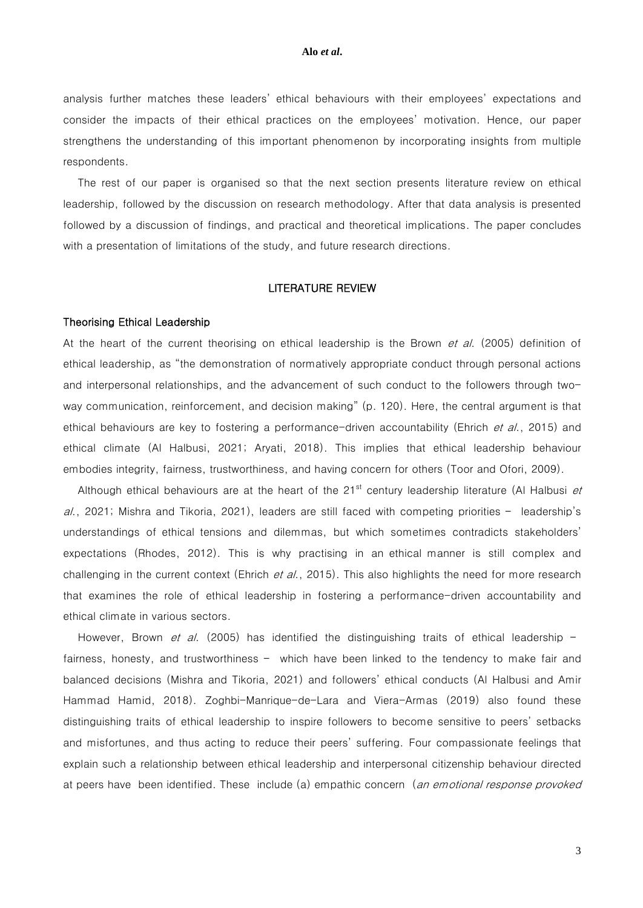analysis further matches these leaders' ethical behaviours with their employees' expectations and consider the impacts of their ethical practices on the employees' motivation. Hence, our paper strengthens the understanding of this important phenomenon by incorporating insights from multiple respondents.

The rest of our paper is organised so that the next section presents literature review on ethical leadership, followed by the discussion on research methodology. After that data analysis is presented followed by a discussion of findings, and practical and theoretical implications. The paper concludes with a presentation of limitations of the study, and future research directions.

#### LITERATURE REVIEW

#### Theorising Ethical Leadership

At the heart of the current theorising on ethical leadership is the Brown et al. (2005) definition of ethical leadership, as "the demonstration of normatively appropriate conduct through personal actions and interpersonal relationships, and the advancement of such conduct to the followers through twoway communication, reinforcement, and decision making" (p. 120). Here, the central argument is that ethical behaviours are key to fostering a performance-driven accountability (Ehrich et al., 2015) and ethical climate (Al Halbusi, 2021; Aryati, 2018). This implies that ethical leadership behaviour embodies integrity, fairness, trustworthiness, and having concern for others (Toor and Ofori, 2009).

Although ethical behaviours are at the heart of the 21<sup>st</sup> century leadership literature (Al Halbusi *et*  $a$ ., 2021; Mishra and Tikoria, 2021), leaders are still faced with competing priorities – leadership's understandings of ethical tensions and dilemmas, but which sometimes contradicts stakeholders' expectations (Rhodes, 2012). This is why practising in an ethical manner is still complex and challenging in the current context (Ehrich  $et al.$ , 2015). This also highlights the need for more research that examines the role of ethical leadership in fostering a performance-driven accountability and ethical climate in various sectors.

However, Brown *et al.* (2005) has identified the distinguishing traits of ethical leadership  $$ fairness, honesty, and trustworthiness – which have been linked to the tendency to make fair and balanced decisions (Mishra and Tikoria, 2021) and followers' ethical conducts (Al Halbusi and Amir Hammad Hamid, 2018). Zoghbi-Manrique-de-Lara and Viera-Armas (2019) also found these distinguishing traits of ethical leadership to inspire followers to become sensitive to peers' setbacks and misfortunes, and thus acting to reduce their peers' suffering. Four compassionate feelings that explain such a relationship between ethical leadership and interpersonal citizenship behaviour directed at peers have been identified. These include (a) empathic concern (an emotional response provoked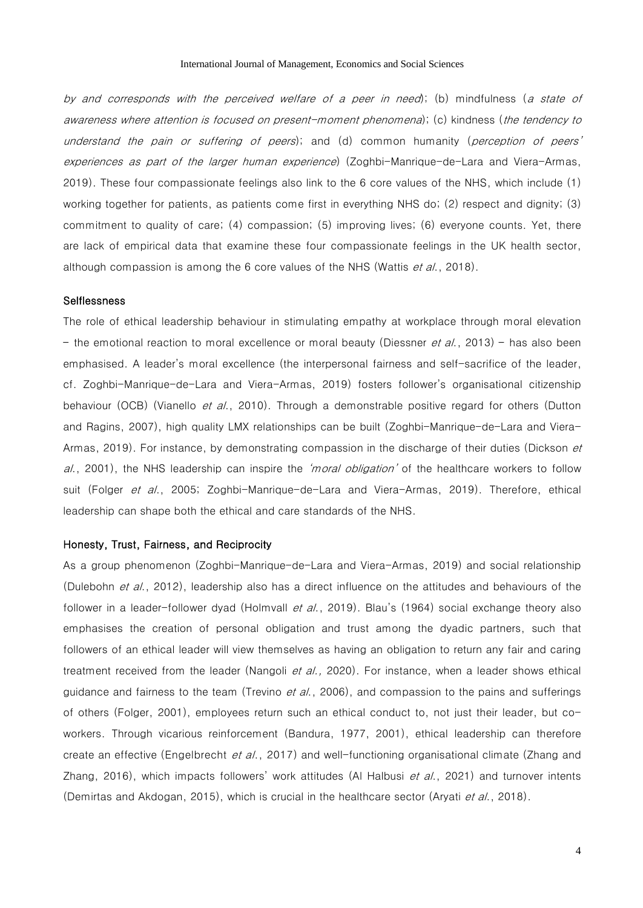by and corresponds with the perceived welfare of a peer in need); (b) mindfulness (a state of awareness where attention is focused on present-moment phenomena); (c) kindness (the tendency to understand the pain or suffering of peers); and (d) common humanity (perception of peers' experiences as part of the larger human experience) (Zoghbi-Manrique-de-Lara and Viera-Armas, 2019). These four compassionate feelings also link to the 6 core values of the NHS, which include (1) working together for patients, as patients come first in everything NHS do; (2) respect and dignity; (3) commitment to quality of care; (4) compassion; (5) improving lives; (6) everyone counts. Yet, there are lack of empirical data that examine these four compassionate feelings in the UK health sector, although compassion is among the 6 core values of the NHS (Wattis *et al.*, 2018).

# **Selflessness**

The role of ethical leadership behaviour in stimulating empathy at workplace through moral elevation – the emotional reaction to moral excellence or moral beauty (Diessner *et al.*, 2013) – has also been emphasised. A leader's moral excellence (the interpersonal fairness and self-sacrifice of the leader, cf. Zoghbi-Manrique-de-Lara and Viera-Armas, 2019) fosters follower's organisational citizenship behaviour (OCB) (Vianello et al., 2010). Through a demonstrable positive regard for others (Dutton and Ragins, 2007), high quality LMX relationships can be built (Zoghbi-Manrique-de-Lara and Viera-Armas, 2019). For instance, by demonstrating compassion in the discharge of their duties (Dickson et al., 2001), the NHS leadership can inspire the *'moral obligation'* of the healthcare workers to follow suit (Folger et al., 2005; Zoghbi-Manrique-de-Lara and Viera-Armas, 2019). Therefore, ethical leadership can shape both the ethical and care standards of the NHS.

#### Honesty, Trust, Fairness, and Reciprocity

As a group phenomenon (Zoghbi-Manrique-de-Lara and Viera-Armas, 2019) and social relationship (Dulebohn et al., 2012), leadership also has a direct influence on the attitudes and behaviours of the follower in a leader-follower dyad (Holmvall et al., 2019). Blau's (1964) social exchange theory also emphasises the creation of personal obligation and trust among the dyadic partners, such that followers of an ethical leader will view themselves as having an obligation to return any fair and caring treatment received from the leader (Nangoli et al., 2020). For instance, when a leader shows ethical guidance and fairness to the team (Trevino et al., 2006), and compassion to the pains and sufferings of others (Folger, 2001), employees return such an ethical conduct to, not just their leader, but coworkers. Through vicarious reinforcement (Bandura, 1977, 2001), ethical leadership can therefore create an effective (Engelbrecht et al., 2017) and well-functioning organisational climate (Zhang and Zhang, 2016), which impacts followers' work attitudes (AI Halbusi  $et$  al., 2021) and turnover intents (Demirtas and Akdogan, 2015), which is crucial in the healthcare sector (Aryati et al., 2018).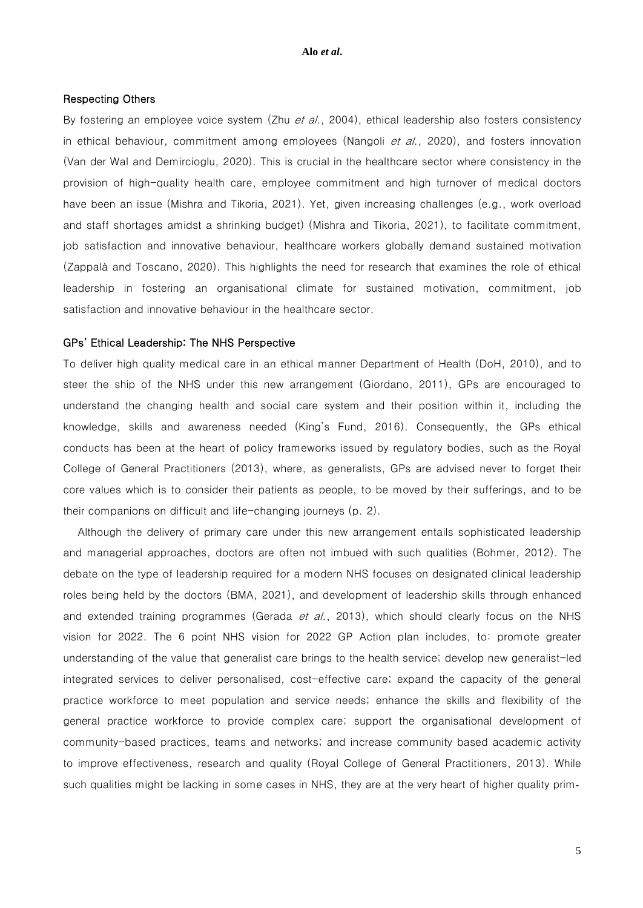# Respecting Others

By fostering an employee voice system (Zhu et al., 2004), ethical leadership also fosters consistency in ethical behaviour, commitment among employees (Nangoli *et al.*, 2020), and fosters innovation (Van der Wal and Demircioglu, 2020). This is crucial in the healthcare sector where consistency in the provision of high-quality health care, employee commitment and high turnover of medical doctors have been an issue (Mishra and Tikoria, 2021). Yet, given increasing challenges (e.g., work overload and staff shortages amidst a shrinking budget) (Mishra and Tikoria, 2021), to facilitate commitment, job satisfaction and innovative behaviour, healthcare workers globally demand sustained motivation (Zappalà and Toscano, 2020). This highlights the need for research that examines the role of ethical leadership in fostering an organisational climate for sustained motivation, commitment, job satisfaction and innovative behaviour in the healthcare sector.

#### GPs' Ethical Leadership: The NHS Perspective

To deliver high quality medical care in an ethical manner Department of Health (DoH, 2010), and to steer the ship of the NHS under this new arrangement (Giordano, 2011), GPs are encouraged to understand the changing health and social care system and their position within it, including the knowledge, skills and awareness needed (King's Fund, 2016). Consequently, the GPs ethical conducts has been at the heart of policy frameworks issued by regulatory bodies, such as the Royal College of General Practitioners (2013), where, as generalists, GPs are advised never to forget their core values which is to consider their patients as people, to be moved by their sufferings, and to be their companions on difficult and life-changing journeys (p. 2).

Although the delivery of primary care under this new arrangement entails sophisticated leadership and managerial approaches, doctors are often not imbued with such qualities (Bohmer, 2012). The debate on the type of leadership required for a modern NHS focuses on designated clinical leadership roles being held by the doctors (BMA, 2021), and development of leadership skills through enhanced and extended training programmes (Gerada *et al.*, 2013), which should clearly focus on the NHS vision for 2022. The 6 point NHS vision for 2022 GP Action plan includes, to: promote greater understanding of the value that generalist care brings to the health service; develop new generalist-led integrated services to deliver personalised, cost-effective care; expand the capacity of the general practice workforce to meet population and service needs; enhance the skills and flexibility of the general practice workforce to provide complex care; support the organisational development of community-based practices, teams and networks; and increase community based academic activity to improve effectiveness, research and quality (Royal College of General Practitioners, 2013). While such qualities might be lacking in some cases in NHS, they are at the very heart of higher quality prim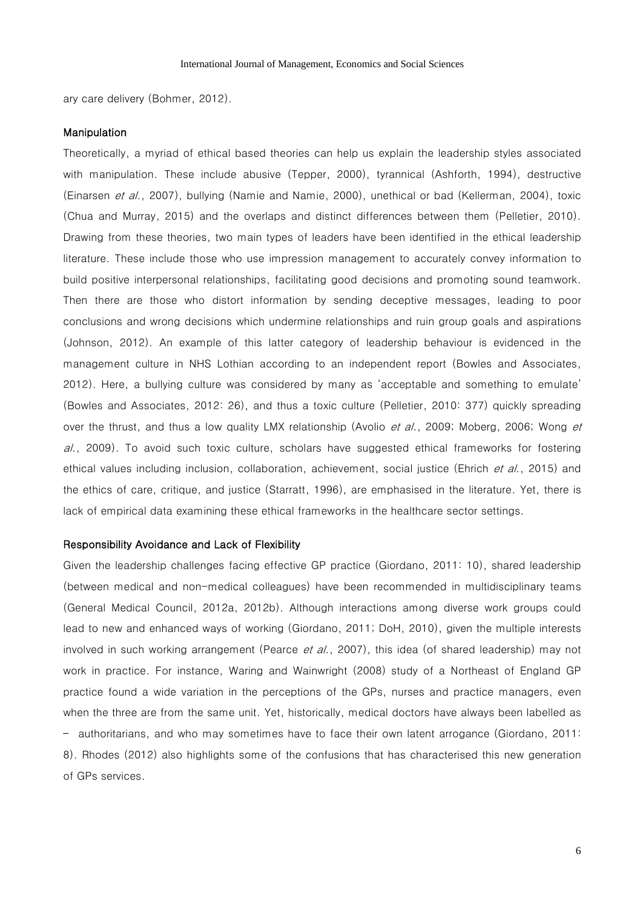ary care delivery (Bohmer, 2012).

#### Manipulation

Theoretically, a myriad of ethical based theories can help us explain the leadership styles associated with manipulation. These include abusive (Tepper, 2000), tyrannical (Ashforth, 1994), destructive (Einarsen et al., 2007), bullying (Namie and Namie, 2000), unethical or bad (Kellerman, 2004), toxic (Chua and Murray, 2015) and the overlaps and distinct differences between them (Pelletier, 2010). Drawing from these theories, two main types of leaders have been identified in the ethical leadership literature. These include those who use impression management to accurately convey information to build positive interpersonal relationships, facilitating good decisions and promoting sound teamwork. Then there are those who distort information by sending deceptive messages, leading to poor conclusions and wrong decisions which undermine relationships and ruin group goals and aspirations (Johnson, 2012). An example of this latter category of leadership behaviour is evidenced in the management culture in NHS Lothian according to an independent report (Bowles and Associates, 2012). Here, a bullying culture was considered by many as 'acceptable and something to emulate' (Bowles and Associates, 2012: 26), and thus a toxic culture (Pelletier, 2010: 377) quickly spreading over the thrust, and thus a low quality LMX relationship (Avolio *et al.*, 2009; Moberg, 2006; Wong *et* al., 2009). To avoid such toxic culture, scholars have suggested ethical frameworks for fostering ethical values including inclusion, collaboration, achievement, social justice (Ehrich et al., 2015) and the ethics of care, critique, and justice (Starratt, 1996), are emphasised in the literature. Yet, there is lack of empirical data examining these ethical frameworks in the healthcare sector settings.

#### Responsibility Avoidance and Lack of Flexibility

Given the leadership challenges facing effective GP practice (Giordano, 2011: 10), shared leadership (between medical and non-medical colleagues) have been recommended in multidisciplinary teams (General Medical Council, 2012a, 2012b). Although interactions among diverse work groups could lead to new and enhanced ways of working (Giordano, 2011; DoH, 2010), given the multiple interests involved in such working arrangement (Pearce *et al.*, 2007), this idea (of shared leadership) may not work in practice. For instance, Waring and Wainwright (2008) study of a Northeast of England GP practice found a wide variation in the perceptions of the GPs, nurses and practice managers, even when the three are from the same unit. Yet, historically, medical doctors have always been labelled as – authoritarians, and who may sometimes have to face their own latent arrogance (Giordano, 2011: 8). Rhodes (2012) also highlights some of the confusions that has characterised this new generation of GPs services.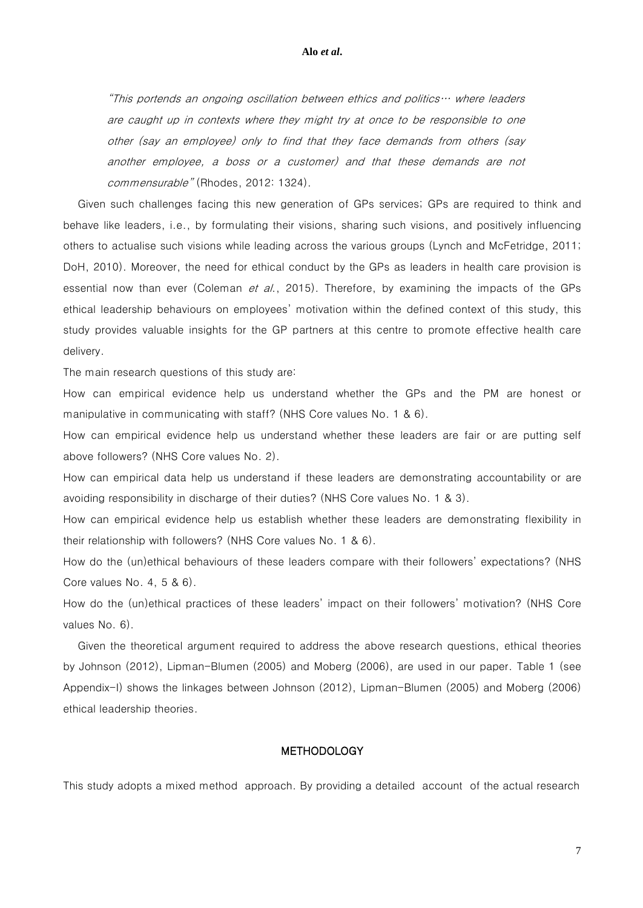"This portends an ongoing oscillation between ethics and politics… where leaders are caught up in contexts where they might try at once to be responsible to one other (say an employee) only to find that they face demands from others (say another employee, a boss or a customer) and that these demands are not commensurable" (Rhodes, 2012: 1324).

Given such challenges facing this new generation of GPs services; GPs are required to think and behave like leaders, i.e., by formulating their visions, sharing such visions, and positively influencing others to actualise such visions while leading across the various groups (Lynch and McFetridge, 2011; DoH, 2010). Moreover, the need for ethical conduct by the GPs as leaders in health care provision is essential now than ever (Coleman et al., 2015). Therefore, by examining the impacts of the GPs ethical leadership behaviours on employees' motivation within the defined context of this study, this study provides valuable insights for the GP partners at this centre to promote effective health care delivery.

The main research questions of this study are:

How can empirical evidence help us understand whether the GPs and the PM are honest or manipulative in communicating with staff? (NHS Core values No. 1 & 6).

How can empirical evidence help us understand whether these leaders are fair or are putting self above followers? (NHS Core values No. 2).

How can empirical data help us understand if these leaders are demonstrating accountability or are avoiding responsibility in discharge of their duties? (NHS Core values No. 1 & 3).

How can empirical evidence help us establish whether these leaders are demonstrating flexibility in their relationship with followers? (NHS Core values No. 1 & 6).

How do the (un)ethical behaviours of these leaders compare with their followers' expectations? (NHS Core values No. 4, 5 & 6).

How do the (un)ethical practices of these leaders' impact on their followers' motivation? (NHS Core values No. 6).

Given the theoretical argument required to address the above research questions, ethical theories by Johnson (2012), Lipman-Blumen (2005) and Moberg (2006), are used in our paper. Table 1 (see Appendix-I) shows the linkages between Johnson (2012), Lipman-Blumen (2005) and Moberg (2006) ethical leadership theories.

# **METHODOLOGY**

This study adopts a mixed method approach. By providing a detailed account of the actual research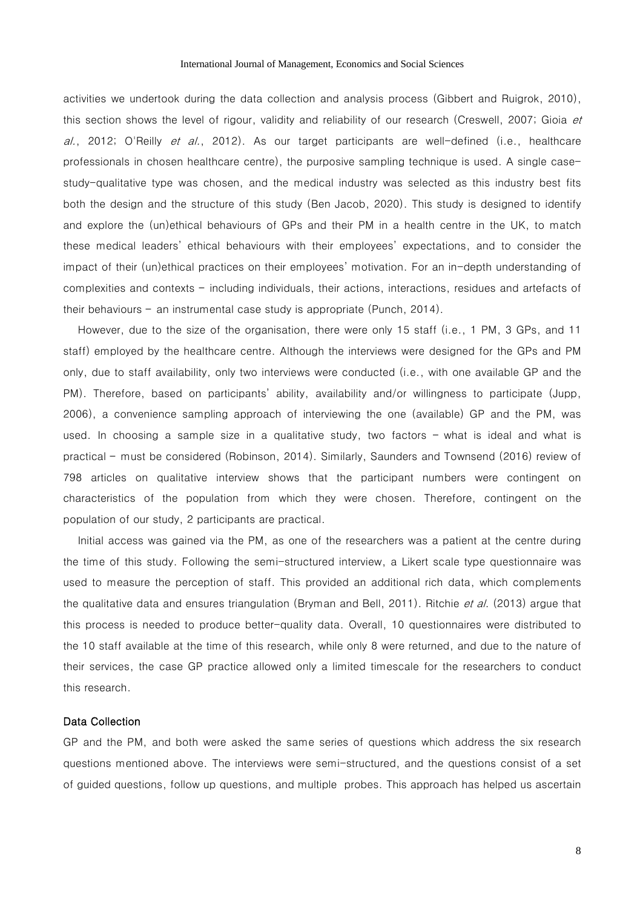activities we undertook during the data collection and analysis process (Gibbert and Ruigrok, 2010), this section shows the level of rigour, validity and reliability of our research (Creswell, 2007; Gioia et  $a$ ., 2012; O'Reilly *et al.*, 2012). As our target participants are well-defined (i.e., healthcare professionals in chosen healthcare centre), the purposive sampling technique is used. A single casestudy-qualitative type was chosen, and the medical industry was selected as this industry best fits both the design and the structure of this study (Ben Jacob, 2020). This study is designed to identify and explore the (un)ethical behaviours of GPs and their PM in a health centre in the UK, to match these medical leaders' ethical behaviours with their employees' expectations, and to consider the impact of their (un)ethical practices on their employees' motivation. For an in-depth understanding of complexities and contexts – including individuals, their actions, interactions, residues and artefacts of their behaviours – an instrumental case study is appropriate (Punch, 2014).

However, due to the size of the organisation, there were only 15 staff (i.e., 1 PM, 3 GPs, and 11 staff) employed by the healthcare centre. Although the interviews were designed for the GPs and PM only, due to staff availability, only two interviews were conducted (i.e., with one available GP and the PM). Therefore, based on participants' ability, availability and/or willingness to participate (Jupp, 2006), a convenience sampling approach of interviewing the one (available) GP and the PM, was used. In choosing a sample size in a qualitative study, two factors – what is ideal and what is practical – must be considered (Robinson, 2014). Similarly, Saunders and Townsend (2016) review of 798 articles on qualitative interview shows that the participant numbers were contingent on characteristics of the population from which they were chosen. Therefore, contingent on the population of our study, 2 participants are practical.

Initial access was gained via the PM, as one of the researchers was a patient at the centre during the time of this study. Following the semi-structured interview, a Likert scale type questionnaire was used to measure the perception of staff. This provided an additional rich data, which complements the qualitative data and ensures triangulation (Bryman and Bell, 2011). Ritchie *et al.* (2013) argue that this process is needed to produce better-quality data. Overall, 10 questionnaires were distributed to the 10 staff available at the time of this research, while only 8 were returned, and due to the nature of their services, the case GP practice allowed only a limited timescale for the researchers to conduct this research.

#### Data Collection

GP and the PM, and both were asked the same series of questions which address the six research questions mentioned above. The interviews were semi-structured, and the questions consist of a set of guided questions, follow up questions, and multiple probes. This approach has helped us ascertain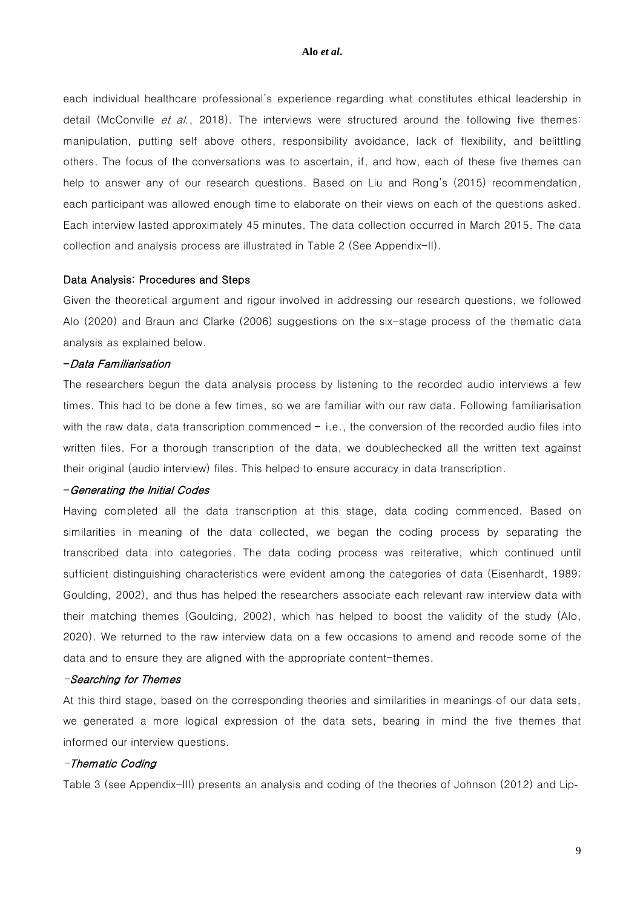each individual healthcare professional's experience regarding what constitutes ethical leadership in detail (McConville *et al.*, 2018). The interviews were structured around the following five themes: manipulation, putting self above others, responsibility avoidance, lack of flexibility, and belittling others. The focus of the conversations was to ascertain, if, and how, each of these five themes can help to answer any of our research questions. Based on Liu and Rong's (2015) recommendation, each participant was allowed enough time to elaborate on their views on each of the questions asked. Each interview lasted approximately 45 minutes. The data collection occurred in March 2015. The data collection and analysis process are illustrated in Table 2 (See Appendix-II).

# Data Analysis: Procedures and Steps

Given the theoretical argument and rigour involved in addressing our research questions, we followed Alo (2020) and Braun and Clarke (2006) suggestions on the six-stage process of the thematic data analysis as explained below.

### -Data Familiarisation

The researchers begun the data analysis process by listening to the recorded audio interviews a few times. This had to be done a few times, so we are familiar with our raw data. Following familiarisation with the raw data, data transcription commenced  $-$  i.e., the conversion of the recorded audio files into written files. For a thorough transcription of the data, we doublechecked all the written text against their original (audio interview) files. This helped to ensure accuracy in data transcription.

#### -Generating the Initial Codes

Having completed all the data transcription at this stage, data coding commenced. Based on similarities in meaning of the data collected, we began the coding process by separating the transcribed data into categories. The data coding process was reiterative, which continued until sufficient distinguishing characteristics were evident among the categories of data (Eisenhardt, 1989; Goulding, 2002), and thus has helped the researchers associate each relevant raw interview data with their matching themes (Goulding, 2002), which has helped to boost the validity of the study (Alo, 2020). We returned to the raw interview data on a few occasions to amend and recode some of the data and to ensure they are aligned with the appropriate content-themes.

# -Searching for Themes

At this third stage, based on the corresponding theories and similarities in meanings of our data sets, we generated a more logical expression of the data sets, bearing in mind the five themes that informed our interview questions.

# -Thematic Coding

Table 3 (see Appendix-III) presents an analysis and coding of the theories of Johnson (2012) and Lip-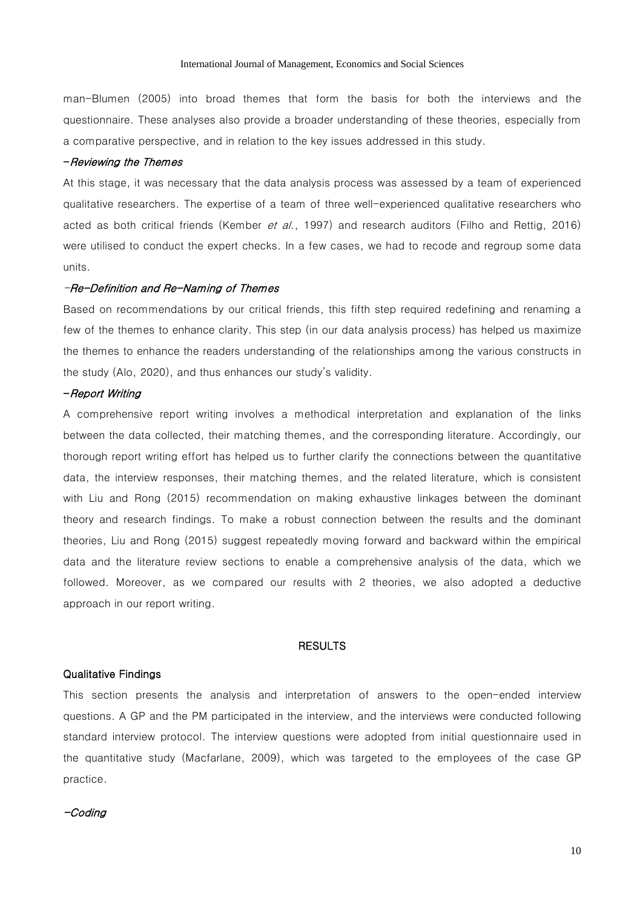man-Blumen (2005) into broad themes that form the basis for both the interviews and the questionnaire. These analyses also provide a broader understanding of these theories, especially from a comparative perspective, and in relation to the key issues addressed in this study.

#### -Reviewing the Themes

At this stage, it was necessary that the data analysis process was assessed by a team of experienced qualitative researchers. The expertise of a team of three well-experienced qualitative researchers who acted as both critical friends (Kember et al., 1997) and research auditors (Filho and Rettig, 2016) were utilised to conduct the expert checks. In a few cases, we had to recode and regroup some data units.

### -Re-Definition and Re-Naming of Themes

Based on recommendations by our critical friends, this fifth step required redefining and renaming a few of the themes to enhance clarity. This step (in our data analysis process) has helped us maximize the themes to enhance the readers understanding of the relationships among the various constructs in the study (Alo, 2020), and thus enhances our study's validity.

#### -Report Writing

A comprehensive report writing involves a methodical interpretation and explanation of the links between the data collected, their matching themes, and the corresponding literature. Accordingly, our thorough report writing effort has helped us to further clarify the connections between the quantitative data, the interview responses, their matching themes, and the related literature, which is consistent with Liu and Rong (2015) recommendation on making exhaustive linkages between the dominant theory and research findings. To make a robust connection between the results and the dominant theories, Liu and Rong (2015) suggest repeatedly moving forward and backward within the empirical data and the literature review sections to enable a comprehensive analysis of the data, which we followed. Moreover, as we compared our results with 2 theories, we also adopted a deductive approach in our report writing.

# **RESULTS**

#### Qualitative Findings

This section presents the analysis and interpretation of answers to the open-ended interview questions. A GP and the PM participated in the interview, and the interviews were conducted following standard interview protocol. The interview questions were adopted from initial questionnaire used in the quantitative study (Macfarlane, 2009), which was targeted to the employees of the case GP practice.

-Coding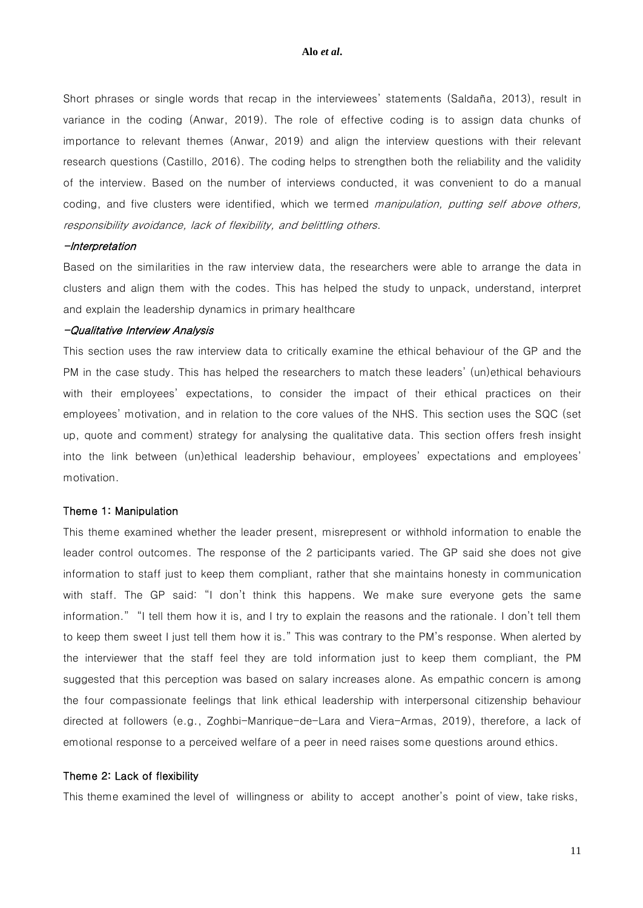Short phrases or single words that recap in the interviewees' statements (Saldaña, 2013), result in variance in the coding (Anwar, 2019). The role of effective coding is to assign data chunks of importance to relevant themes (Anwar, 2019) and align the interview questions with their relevant research questions (Castillo, 2016). The coding helps to strengthen both the reliability and the validity of the interview. Based on the number of interviews conducted, it was convenient to do a manual coding, and five clusters were identified, which we termed manipulation, putting self above others, responsibility avoidance, lack of flexibility, and belittling others.

#### -Interpretation

Based on the similarities in the raw interview data, the researchers were able to arrange the data in clusters and align them with the codes. This has helped the study to unpack, understand, interpret and explain the leadership dynamics in primary healthcare

#### -Qualitative Interview Analysis

This section uses the raw interview data to critically examine the ethical behaviour of the GP and the PM in the case study. This has helped the researchers to match these leaders' (un)ethical behaviours with their employees' expectations, to consider the impact of their ethical practices on their employees' motivation, and in relation to the core values of the NHS. This section uses the SQC (set up, quote and comment) strategy for analysing the qualitative data. This section offers fresh insight into the link between (un)ethical leadership behaviour, employees' expectations and employees' motivation.

#### Theme 1: Manipulation

This theme examined whether the leader present, misrepresent or withhold information to enable the leader control outcomes. The response of the 2 participants varied. The GP said she does not give information to staff just to keep them compliant, rather that she maintains honesty in communication with staff. The GP said: "I don't think this happens. We make sure everyone gets the same information." "I tell them how it is, and I try to explain the reasons and the rationale. I don't tell them to keep them sweet I just tell them how it is." This was contrary to the PM's response. When alerted by the interviewer that the staff feel they are told information just to keep them compliant, the PM suggested that this perception was based on salary increases alone. As empathic concern is among the four compassionate feelings that link ethical leadership with interpersonal citizenship behaviour directed at followers (e.g., Zoghbi-Manrique-de-Lara and Viera-Armas, 2019), therefore, a lack of emotional response to a perceived welfare of a peer in need raises some questions around ethics.

## Theme 2: Lack of flexibility

This theme examined the level of willingness or ability to accept another's point of view, take risks,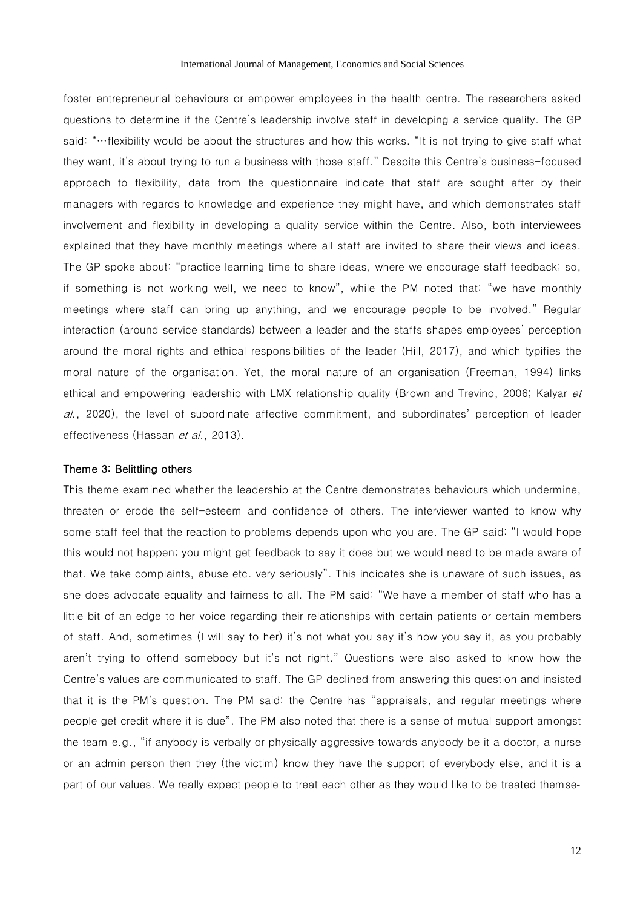foster entrepreneurial behaviours or empower employees in the health centre. The researchers asked questions to determine if the Centre's leadership involve staff in developing a service quality. The GP said: "…flexibility would be about the structures and how this works. "It is not trying to give staff what they want, it's about trying to run a business with those staff." Despite this Centre's business-focused approach to flexibility, data from the questionnaire indicate that staff are sought after by their managers with regards to knowledge and experience they might have, and which demonstrates staff involvement and flexibility in developing a quality service within the Centre. Also, both interviewees explained that they have monthly meetings where all staff are invited to share their views and ideas. The GP spoke about: "practice learning time to share ideas, where we encourage staff feedback; so, if something is not working well, we need to know", while the PM noted that: "we have monthly meetings where staff can bring up anything, and we encourage people to be involved." Regular interaction (around service standards) between a leader and the staffs shapes employees' perception around the moral rights and ethical responsibilities of the leader (Hill, 2017), and which typifies the moral nature of the organisation. Yet, the moral nature of an organisation (Freeman, 1994) links ethical and empowering leadership with LMX relationship quality (Brown and Trevino, 2006; Kalyar et al., 2020), the level of subordinate affective commitment, and subordinates' perception of leader effectiveness (Hassan *et al.*, 2013).

#### Theme 3: Belittling others

This theme examined whether the leadership at the Centre demonstrates behaviours which undermine, threaten or erode the self-esteem and confidence of others. The interviewer wanted to know why some staff feel that the reaction to problems depends upon who you are. The GP said: "I would hope this would not happen; you might get feedback to say it does but we would need to be made aware of that. We take complaints, abuse etc. very seriously". This indicates she is unaware of such issues, as she does advocate equality and fairness to all. The PM said: "We have a member of staff who has a little bit of an edge to her voice regarding their relationships with certain patients or certain members of staff. And, sometimes (I will say to her) it's not what you say it's how you say it, as you probably aren't trying to offend somebody but it's not right." Questions were also asked to know how the Centre's values are communicated to staff. The GP declined from answering this question and insisted that it is the PM's question. The PM said: the Centre has "appraisals, and regular meetings where people get credit where it is due". The PM also noted that there is a sense of mutual support amongst the team e.g., "if anybody is verbally or physically aggressive towards anybody be it a doctor, a nurse or an admin person then they (the victim) know they have the support of everybody else, and it is a part of our values. We really expect people to treat each other as they would like to be treated themse-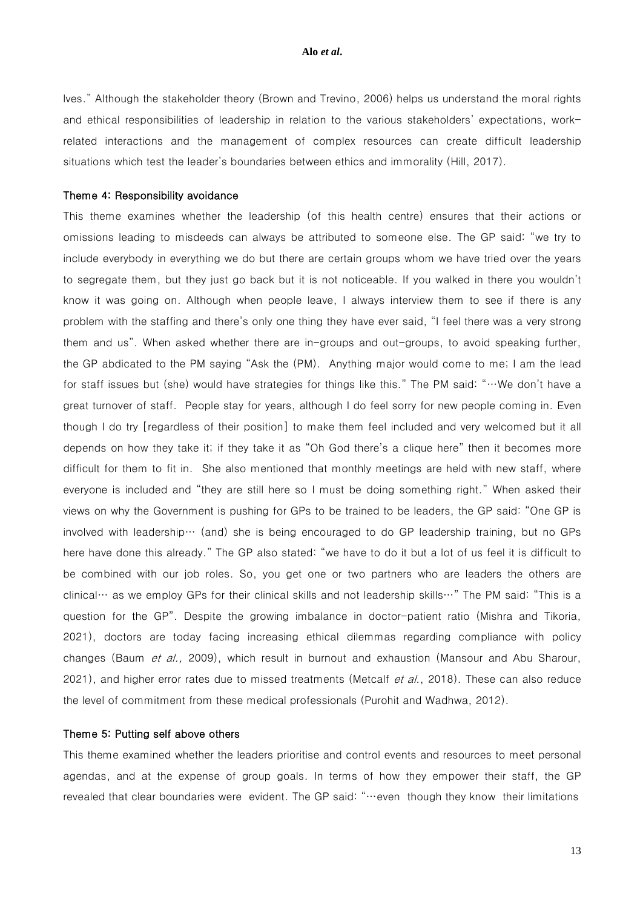lves." Although the stakeholder theory (Brown and Trevino, 2006) helps us understand the moral rights and ethical responsibilities of leadership in relation to the various stakeholders' expectations, workrelated interactions and the management of complex resources can create difficult leadership situations which test the leader's boundaries between ethics and immorality (Hill, 2017).

#### Theme 4: Responsibility avoidance

This theme examines whether the leadership (of this health centre) ensures that their actions or omissions leading to misdeeds can always be attributed to someone else. The GP said: "we try to include everybody in everything we do but there are certain groups whom we have tried over the years to segregate them, but they just go back but it is not noticeable. If you walked in there you wouldn't know it was going on. Although when people leave, I always interview them to see if there is any problem with the staffing and there's only one thing they have ever said, "I feel there was a very strong them and us". When asked whether there are in-groups and out-groups, to avoid speaking further, the GP abdicated to the PM saying "Ask the (PM). Anything major would come to me; I am the lead for staff issues but (she) would have strategies for things like this." The PM said: "…We don't have a great turnover of staff. People stay for years, although I do feel sorry for new people coming in. Even though I do try [regardless of their position] to make them feel included and very welcomed but it all depends on how they take it; if they take it as "Oh God there's a clique here" then it becomes more difficult for them to fit in. She also mentioned that monthly meetings are held with new staff, where everyone is included and "they are still here so I must be doing something right." When asked their views on why the Government is pushing for GPs to be trained to be leaders, the GP said: "One GP is involved with leadership… (and) she is being encouraged to do GP leadership training, but no GPs here have done this already." The GP also stated: "we have to do it but a lot of us feel it is difficult to be combined with our job roles. So, you get one or two partners who are leaders the others are clinical… as we employ GPs for their clinical skills and not leadership skills…" The PM said: "This is a question for the GP". Despite the growing imbalance in doctor-patient ratio (Mishra and Tikoria, 2021), doctors are today facing increasing ethical dilemmas regarding compliance with policy changes (Baum et al., 2009), which result in burnout and exhaustion (Mansour and Abu Sharour, 2021), and higher error rates due to missed treatments (Metcalf et al., 2018). These can also reduce the level of commitment from these medical professionals (Purohit and Wadhwa, 2012).

#### Theme 5: Putting self above others

This theme examined whether the leaders prioritise and control events and resources to meet personal agendas, and at the expense of group goals. In terms of how they empower their staff, the GP revealed that clear boundaries were evident. The GP said: "…even though they know their limitations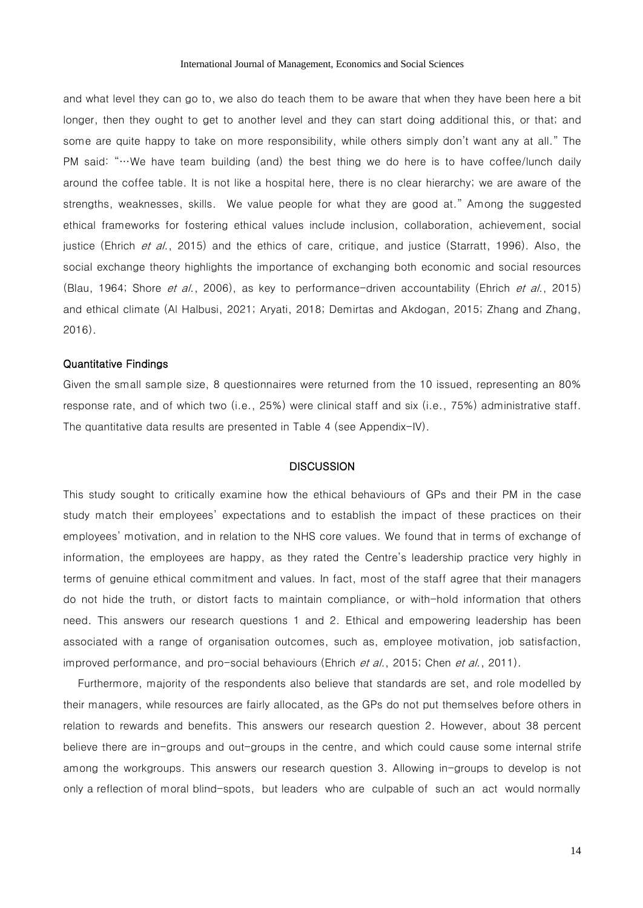and what level they can go to, we also do teach them to be aware that when they have been here a bit longer, then they ought to get to another level and they can start doing additional this, or that; and some are quite happy to take on more responsibility, while others simply don't want any at all." The PM said: "…We have team building (and) the best thing we do here is to have coffee/lunch daily around the coffee table. It is not like a hospital here, there is no clear hierarchy; we are aware of the strengths, weaknesses, skills. We value people for what they are good at." Among the suggested ethical frameworks for fostering ethical values include inclusion, collaboration, achievement, social justice (Ehrich et al., 2015) and the ethics of care, critique, and justice (Starratt, 1996). Also, the social exchange theory highlights the importance of exchanging both economic and social resources (Blau, 1964; Shore et al., 2006), as key to performance-driven accountability (Ehrich et al., 2015) and ethical climate (Al Halbusi, 2021; Aryati, 2018; Demirtas and Akdogan, 2015; Zhang and Zhang, 2016).

#### Quantitative Findings

Given the small sample size, 8 questionnaires were returned from the 10 issued, representing an 80% response rate, and of which two (i.e., 25%) were clinical staff and six (i.e., 75%) administrative staff. The quantitative data results are presented in Table 4 (see Appendix-IV).

# **DISCUSSION**

This study sought to critically examine how the ethical behaviours of GPs and their PM in the case study match their employees' expectations and to establish the impact of these practices on their employees' motivation, and in relation to the NHS core values. We found that in terms of exchange of information, the employees are happy, as they rated the Centre's leadership practice very highly in terms of genuine ethical commitment and values. In fact, most of the staff agree that their managers do not hide the truth, or distort facts to maintain compliance, or with-hold information that others need. This answers our research questions 1 and 2. Ethical and empowering leadership has been associated with a range of organisation outcomes, such as, employee motivation, job satisfaction, improved performance, and pro-social behaviours (Ehrich et al., 2015; Chen et al., 2011).

Furthermore, majority of the respondents also believe that standards are set, and role modelled by their managers, while resources are fairly allocated, as the GPs do not put themselves before others in relation to rewards and benefits. This answers our research question 2. However, about 38 percent believe there are in-groups and out-groups in the centre, and which could cause some internal strife among the workgroups. This answers our research question 3. Allowing in-groups to develop is not only a reflection of moral blind-spots, but leaders who are culpable of such an act would normally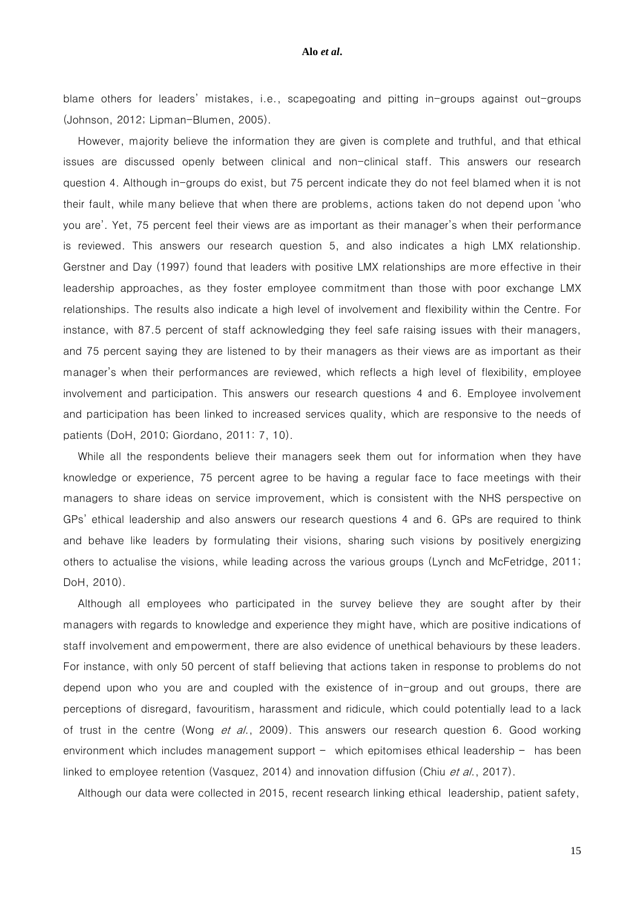blame others for leaders' mistakes, i.e., scapegoating and pitting in-groups against out-groups (Johnson, 2012; Lipman-Blumen, 2005).

However, majority believe the information they are given is complete and truthful, and that ethical issues are discussed openly between clinical and non-clinical staff. This answers our research question 4. Although in-groups do exist, but 75 percent indicate they do not feel blamed when it is not their fault, while many believe that when there are problems, actions taken do not depend upon 'who you are'. Yet, 75 percent feel their views are as important as their manager's when their performance is reviewed. This answers our research question 5, and also indicates a high LMX relationship. Gerstner and Day (1997) found that leaders with positive LMX relationships are more effective in their leadership approaches, as they foster employee commitment than those with poor exchange LMX relationships. The results also indicate a high level of involvement and flexibility within the Centre. For instance, with 87.5 percent of staff acknowledging they feel safe raising issues with their managers, and 75 percent saying they are listened to by their managers as their views are as important as their manager's when their performances are reviewed, which reflects a high level of flexibility, employee involvement and participation. This answers our research questions 4 and 6. Employee involvement and participation has been linked to increased services quality, which are responsive to the needs of patients (DoH, 2010; Giordano, 2011: 7, 10).

While all the respondents believe their managers seek them out for information when they have knowledge or experience, 75 percent agree to be having a regular face to face meetings with their managers to share ideas on service improvement, which is consistent with the NHS perspective on GPs' ethical leadership and also answers our research questions 4 and 6. GPs are required to think and behave like leaders by formulating their visions, sharing such visions by positively energizing others to actualise the visions, while leading across the various groups (Lynch and McFetridge, 2011; DoH, 2010).

Although all employees who participated in the survey believe they are sought after by their managers with regards to knowledge and experience they might have, which are positive indications of staff involvement and empowerment, there are also evidence of unethical behaviours by these leaders. For instance, with only 50 percent of staff believing that actions taken in response to problems do not depend upon who you are and coupled with the existence of in-group and out groups, there are perceptions of disregard, favouritism, harassment and ridicule, which could potentially lead to a lack of trust in the centre (Wong et al., 2009). This answers our research question 6. Good working environment which includes management support – which epitomises ethical leadership – has been linked to employee retention (Vasquez, 2014) and innovation diffusion (Chiu et al., 2017).

Although our data were collected in 2015, recent research linking ethical leadership, patient safety,

15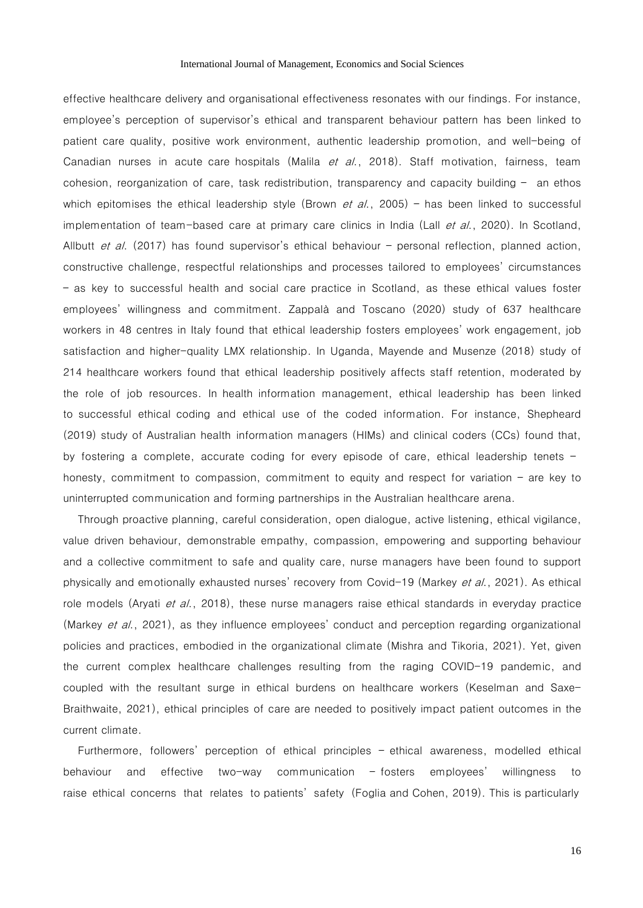effective healthcare delivery and organisational effectiveness resonates with our findings. For instance, employee's perception of supervisor's ethical and transparent behaviour pattern has been linked to patient care quality, positive work environment, authentic leadership promotion, and well-being of Canadian nurses in acute care hospitals (Malila *et al.*, 2018). Staff motivation, fairness, team cohesion, reorganization of care, task redistribution, transparency and capacity building – an ethos which epitomises the ethical leadership style (Brown *et al.*, 2005) – has been linked to successful implementation of team-based care at primary care clinics in India (Lall *et al.*, 2020). In Scotland, Allbutt et al. (2017) has found supervisor's ethical behaviour – personal reflection, planned action, constructive challenge, respectful relationships and processes tailored to employees' circumstances – as key to successful health and social care practice in Scotland, as these ethical values foster employees' willingness and commitment. Zappalà and Toscano (2020) study of 637 healthcare workers in 48 centres in Italy found that ethical leadership fosters employees' work engagement, job satisfaction and higher-quality LMX relationship. In Uganda, Mayende and Musenze (2018) study of 214 healthcare workers found that ethical leadership positively affects staff retention, moderated by the role of job resources. In health information management, ethical leadership has been linked to successful ethical coding and ethical use of the coded information. For instance, Shepheard (2019) study of Australian health information managers (HIMs) and clinical coders (CCs) found that, by fostering a complete, accurate coding for every episode of care, ethical leadership tenets – honesty, commitment to compassion, commitment to equity and respect for variation – are key to uninterrupted communication and forming partnerships in the Australian healthcare arena.

Through proactive planning, careful consideration, open dialogue, active listening, ethical vigilance, value driven behaviour, demonstrable empathy, compassion, empowering and supporting behaviour and a collective commitment to safe and quality care, nurse managers have been found to support physically and emotionally exhausted nurses' recovery from Covid-19 (Markey et al., 2021). As ethical role models (Aryati *et al.*, 2018), these nurse managers raise ethical standards in everyday practice (Markey et al., 2021), as they influence employees' conduct and perception regarding organizational policies and practices, embodied in the organizational climate (Mishra and Tikoria, 2021). Yet, given the current complex healthcare challenges resulting from the raging COVID-19 pandemic, and coupled with the resultant surge in ethical burdens on healthcare workers (Keselman and Saxe-Braithwaite, 2021), ethical principles of care are needed to positively impact patient outcomes in the current climate.

Furthermore, followers' perception of ethical principles – ethical awareness, modelled ethical behaviour and effective two-way communication – fosters employees' willingness to raise ethical concerns that relates to patients' safety (Foglia and Cohen, 2019). This is particularly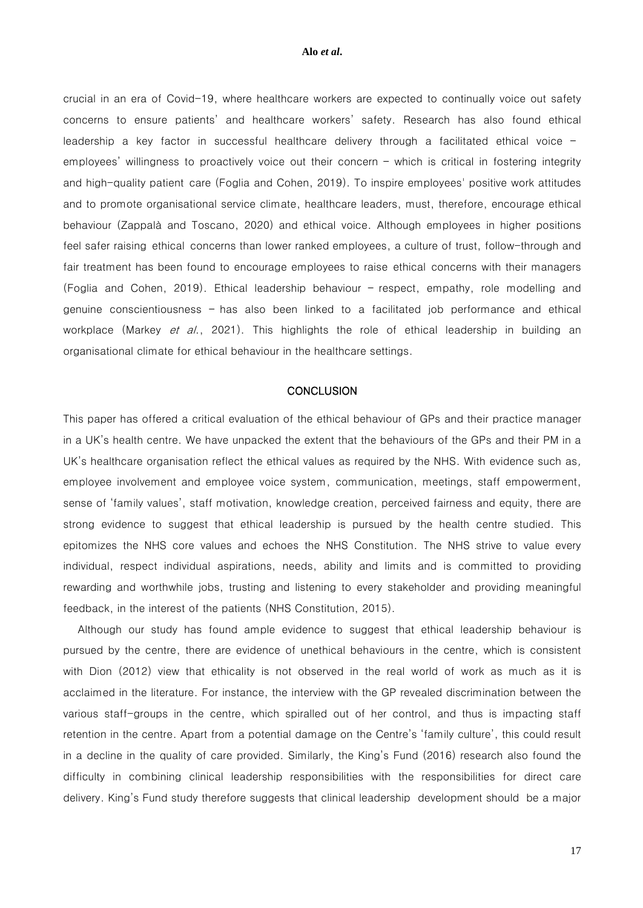crucial in an era of Covid-19, where healthcare workers are expected to continually voice out safety concerns to ensure patients' and healthcare workers' safety. Research has also found ethical leadership a key factor in successful healthcare delivery through a facilitated ethical voice – employees' willingness to proactively voice out their concern – which is critical in fostering integrity and high-quality patient care (Foglia and Cohen, 2019). To inspire employees' positive work attitudes and to promote organisational service climate, healthcare leaders, must, therefore, encourage ethical behaviour (Zappalà and Toscano, 2020) and ethical voice. Although employees in higher positions feel safer raising ethical concerns than lower ranked employees, a culture of trust, follow-through and fair treatment has been found to encourage employees to raise ethical concerns with their managers (Foglia and Cohen, 2019). Ethical leadership behaviour – respect, empathy, role modelling and genuine conscientiousness – has also been linked to a facilitated job performance and ethical workplace (Markey et al., 2021). This highlights the role of ethical leadership in building an organisational climate for ethical behaviour in the healthcare settings.

#### **CONCLUSION**

This paper has offered a critical evaluation of the ethical behaviour of GPs and their practice manager in a UK's health centre. We have unpacked the extent that the behaviours of the GPs and their PM in a UK's healthcare organisation reflect the ethical values as required by the NHS. With evidence such as, employee involvement and employee voice system, communication, meetings, staff empowerment, sense of 'family values', staff motivation, knowledge creation, perceived fairness and equity, there are strong evidence to suggest that ethical leadership is pursued by the health centre studied. This epitomizes the NHS core values and echoes the NHS Constitution. The NHS strive to value every individual, respect individual aspirations, needs, ability and limits and is committed to providing rewarding and worthwhile jobs, trusting and listening to every stakeholder and providing meaningful feedback, in the interest of the patients (NHS Constitution, 2015).

Although our study has found ample evidence to suggest that ethical leadership behaviour is pursued by the centre, there are evidence of unethical behaviours in the centre, which is consistent with Dion (2012) view that ethicality is not observed in the real world of work as much as it is acclaimed in the literature. For instance, the interview with the GP revealed discrimination between the various staff-groups in the centre, which spiralled out of her control, and thus is impacting staff retention in the centre. Apart from a potential damage on the Centre's 'family culture', this could result in a decline in the quality of care provided. Similarly, the King's Fund (2016) research also found the difficulty in combining clinical leadership responsibilities with the responsibilities for direct care delivery. King's Fund study therefore suggests that clinical leadership development should be a major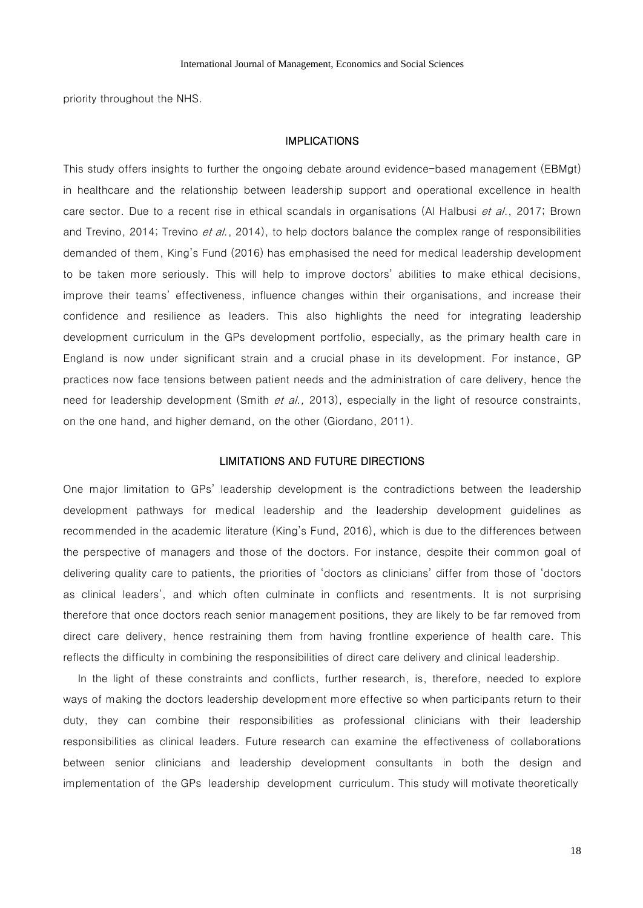priority throughout the NHS.

#### IMPLICATIONS

This study offers insights to further the ongoing debate around evidence-based management (EBMgt) in healthcare and the relationship between leadership support and operational excellence in health care sector. Due to a recent rise in ethical scandals in organisations (Al Halbusi *et al.*, 2017; Brown and Trevino, 2014; Trevino et al., 2014), to help doctors balance the complex range of responsibilities demanded of them, King's Fund (2016) has emphasised the need for medical leadership development to be taken more seriously. This will help to improve doctors' abilities to make ethical decisions, improve their teams' effectiveness, influence changes within their organisations, and increase their confidence and resilience as leaders. This also highlights the need for integrating leadership development curriculum in the GPs development portfolio, especially, as the primary health care in England is now under significant strain and a crucial phase in its development. For instance, GP practices now face tensions between patient needs and the administration of care delivery, hence the need for leadership development (Smith et al., 2013), especially in the light of resource constraints, on the one hand, and higher demand, on the other (Giordano, 2011).

# LIMITATIONS AND FUTURE DIRECTIONS

One major limitation to GPs' leadership development is the contradictions between the leadership development pathways for medical leadership and the leadership development guidelines as recommended in the academic literature (King's Fund, 2016), which is due to the differences between the perspective of managers and those of the doctors. For instance, despite their common goal of delivering quality care to patients, the priorities of 'doctors as clinicians' differ from those of 'doctors as clinical leaders', and which often culminate in conflicts and resentments. It is not surprising therefore that once doctors reach senior management positions, they are likely to be far removed from direct care delivery, hence restraining them from having frontline experience of health care. This reflects the difficulty in combining the responsibilities of direct care delivery and clinical leadership.

In the light of these constraints and conflicts, further research, is, therefore, needed to explore ways of making the doctors leadership development more effective so when participants return to their duty, they can combine their responsibilities as professional clinicians with their leadership responsibilities as clinical leaders. Future research can examine the effectiveness of collaborations between senior clinicians and leadership development consultants in both the design and implementation of the GPs leadership development curriculum. This study will motivate theoretically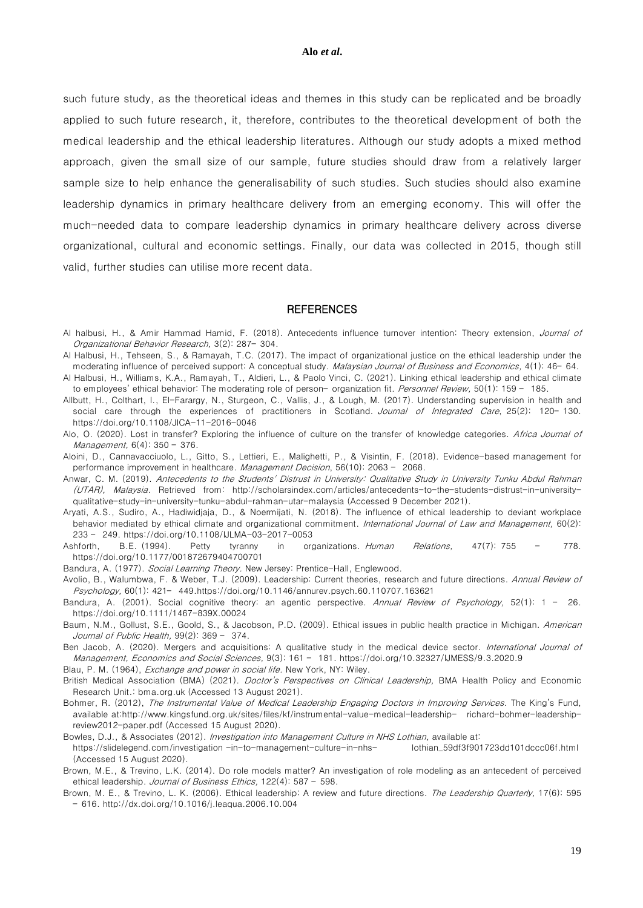such future study, as the theoretical ideas and themes in this study can be replicated and be broadly applied to such future research, it, therefore, contributes to the theoretical development of both the medical leadership and the ethical leadership literatures. Although our study adopts a mixed method approach, given the small size of our sample, future studies should draw from a relatively larger sample size to help enhance the generalisability of such studies. Such studies should also examine leadership dynamics in primary healthcare delivery from an emerging economy. This will offer the much-needed data to compare leadership dynamics in primary healthcare delivery across diverse organizational, cultural and economic settings. Finally, our data was collected in 2015, though still valid, further studies can utilise more recent data.

#### **REFERENCES**

- Al halbusi, H., & Amir Hammad Hamid, F. (2018). Antecedents influence turnover intention: Theory extension, Journal of Organizational Behavior Research, 3(2): 287– 304.
- Al Halbusi, H., Tehseen, S., & Ramayah, T.C. (2017). The impact of organizational justice on the ethical leadership under the moderating influence of perceived support: A conceptual study. *Malaysian Journal of Business and Economics*, 4(1): 46–64.
- Al Halbusi, H., Williams, K.A., Ramayah, T., Aldieri, L., & Paolo Vinci, C. (2021). Linking ethical leadership and ethical climate to employees' ethical behavior: The moderating role of person- organization fit. Personnel Review, 50(1): 159 - 185.
- Allbutt, H., Colthart, I., El-Farargy, N., Sturgeon, C., Vallis, J., & Lough, M. (2017). Understanding supervision in health and social care through the experiences of practitioners in Scotland. Journal of Integrated Care, 25(2): 120-130. <https://doi.org/10.1108/JICA-11-2016-0046>
- Alo, O. (2020). Lost in transfer? Exploring the influence of culture on the transfer of knowledge categories. Africa Journal of Management, 6(4): 350 – 376.
- [Aloini, D.,](https://www.emerald.com/insight/search?q=Davide%20Aloini) [Cannavacciuolo,](https://www.emerald.com/insight/search?q=Lorella%20Cannavacciuolo) L., [Gitto, S.,](https://www.emerald.com/insight/search?q=Simone%20Gitto) [Lettieri,](https://www.emerald.com/insight/search?q=Emanuele%20Lettieri) E., [Malighetti, P.,](https://www.emerald.com/insight/search?q=Paolo%20Malighetti) & [Visintin, F.](https://www.emerald.com/insight/search?q=Filippo%20Visintin) (2018). Evidence-based management for performance improvement in healthcare. [Management Decision](https://www.emerald.com/insight/publication/issn/0025-1747), 56(10): 2063 - 2068.
- [Anwar,](http://scholarsindex.com/profile/prime123) C. M. (2019). Antecedents to the Students' Distrust in University: Qualitative Study in University Tunku Abdul Rahman (UTAR), Malaysia. Retrieved from: [http://scholarsindex.com/articles/antecedents-to-the-students-distrust-in-university](http://scholarsindex.com/articles/antecedents-to-the-students-distrust-in-university-qualitative-study-in-university-tunku-abdul-rahman-utar-malaysia)[qualitative-study-in-university-tunku-abdul-rahman-utar-malaysia](http://scholarsindex.com/articles/antecedents-to-the-students-distrust-in-university-qualitative-study-in-university-tunku-abdul-rahman-utar-malaysia) (Accessed 9 December 2021).
- Aryati, A.S., Sudiro, A., Hadiwidjaja, D., & Noermijati, N. (2018). The influence of ethical leadership to deviant workplace behavior mediated by ethical climate and organizational commitment. International Journal of Law and Management, 60(2): 233 – 249. <https://doi.org/10.1108/IJLMA-03-2017-0053>
- Ashforth, B.E. (1994). Petty tyranny in organizations. Human Relations, 47(7): 755 778. <https://doi.org/10.1177/001872679404700701>
- Bandura, A. (1977). Social Learning Theory. New Jersey: Prentice-Hall, Englewood.
- Avolio, B., Walumbwa, F. & Weber, T.J. (2009). Leadership: Current theories, research and future directions. Annual Review of Psychology, 60(1): 421– 449[.https://doi.org/10.1146/annurev.psych.60.110707.163621](https://doi.org/10.1146/annurev.psych.60.110707.163621)
- Bandura, A. (2001). Social cognitive theory: an agentic perspective. Annual Review of Psychology, 52(1):  $1 26$ . <https://doi.org/10.1111/1467-839X.00024>
- Baum, N.M., Gollust, S.E., Goold, S., & Jacobson, P.D. (2009). Ethical issues in public health practice in Michigan. American Journal of Public Health, 99(2): 369 – 374.
- Ben Jacob, A. (2020). Mergers and acquisitions: A qualitative study in the medical device sector. International Journal of Management, Economics and Social Sciences, 9(3): 161 – 181. https://doi.org/10.32327/IJMESS/9.3.2020.9
- Blau, P. M. (1964), *Exchange and power in social life*. New York, NY: Wiley.
- British Medical Association (BMA) (2021). *Doctor's Perspectives on Clinical Leadership*, BMA Health Policy and Economic Research Unit.: bma.org.uk (Accessed 13 August 2021).
- Bohmer, R. (2012), The Instrumental Value of Medical Leadership Engaging Doctors in Improving Services. The King's Fund, available at[:http://www.kingsfund.org.uk/sites/files/kf/instrumental-value-medical-leadership- richard-bohmer-leadership](http://www.kingsfund.org.uk/sites/files/kf/instrumental-value-medical-leadership-%20%20%20richard-bohmer-leadership-review2012-paper.pdf)[review2012-paper.pdf](http://www.kingsfund.org.uk/sites/files/kf/instrumental-value-medical-leadership-%20%20%20richard-bohmer-leadership-review2012-paper.pdf) (Accessed 15 August 2020).
- Bowles, D.J., & Associates (2012). Investigation into Management Culture in NHS Lothian, available at: https://slidelegend.com/investigation -in-to-management-culture-in-nhs- lothian\_59df3f901723dd101dccc06f.html (Accessed 15 August 2020).
- Brown, M.E., & Trevino, L.K. (2014). Do role models matter? An investigation of role modeling as an antecedent of perceived ethical leadership. Journal of Business Ethics, 122(4): 587 - 598.
- Brown, M. E., & Trevino, L. K. (2006). Ethical leadership: A review and future directions. The Leadership Quarterly, 17(6): 595 – 616. <http://dx.doi.org/10.1016/j.leaqua.2006.10.004>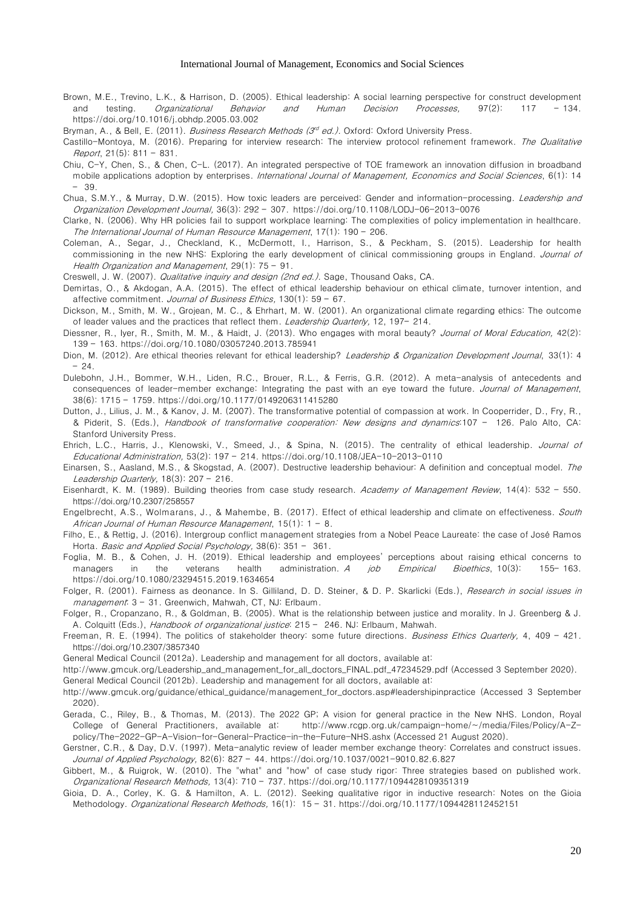- Brown, M.E., Trevino, L.K., & Harrison, D. (2005). Ethical leadership: A social learning perspective for construct development testing. Organizational Behavior and Human Decision Processes, 97(2): 117 - 134. <https://doi.org/10.1016/j.obhdp.2005.03.002>
- Bryman, A., & Bell, E. (2011). *Business Research Methods (3<sup>d</sup> ed.).* Oxford: Oxford University Press.
- Castillo-Montoya, M. (2016). Preparing for interview research: The interview protocol refinement framework. The Qualitative Report, 21(5): 811 – 831.
- Chiu, C-Y, Chen, S., & Chen, C-L. (2017). An integrated perspective of TOE framework an [innovation diffusion in broadband](https://www.econstor.eu/bitstream/10419/157921/1/886618134.pdf)  [mobile applications adoption by enterprises.](https://www.econstor.eu/bitstream/10419/157921/1/886618134.pdf) International Journal of Management, Economics and Social Sciences, 6(1): 14 – 39.
- Chua, S.M.Y., & Murray, D.W. (2015). How toxic leaders are perceived: Gender and information-processing. Leadership and Organization Development Journal, 36(3): 292 – 307. <https://doi.org/10.1108/LODJ-06-2013-0076>
- Clarke, N. (2006). Why HR policies fail to support workplace learning: The complexities of policy implementation in healthcare. The International Journal of Human Resource Management, 17(1): 190 – 206.
- Coleman, A., Segar, J., Checkland, K., McDermott, I., Harrison, S., & Peckham, S. (2015). Leadership for health commissioning in the new NHS: Exploring the early development of clinical commissioning groups in England. Journal of Health Organization and Management, 29(1): 75 – 91.
- Creswell, J. W. (2007). Qualitative inquiry and design (2nd ed.). Sage, Thousand Oaks, CA.
- Demirtas, O., & Akdogan, A.A. (2015). The effect of ethical leadership behaviour on ethical climate, turnover intention, and affective commitment. Journal of Business Ethics, 130(1): 59 - 67.
- Dickson, M., Smith, M. W., Grojean, M. C., & Ehrhart, M. W. (2001). An organizational climate regarding ethics: The outcome of leader values and the practices that reflect them. Leadership Quarterly, 12, 197-214.
- Diessner, R., Iyer, R., Smith, M. M., & Haidt, J. (2013). Who engages with moral beauty? Journal of Moral Education, 42(2): 139 – 163. <https://doi.org/10.1080/03057240.2013.785941>
- Dion, M. (2012). Are ethical theories relevant for ethical leadership? Leadership & Organization Development Journal, 33(1): 4 – 24.
- Dulebohn, J.H., Bommer, W.H., Liden, R.C., Brouer, R.L., & Ferris, G.R. (2012). A meta-analysis of antecedents and consequences of leader-member exchange: Integrating the past with an eye toward the future. Journal of Management, 38(6): 1715 – 1759. [https://doi.org/10.1177/0149206311415280](https://psycnet.apa.org/doi/10.1177/0149206311415280)
- Dutton, J., Lilius, J. M., & Kanov, J. M. (2007). The transformative potential of compassion at work. In Cooperrider, D., Fry, R., & Piderit, S. (Eds.), Handbook of transformative cooperation: New designs and dynamics:107 – 126. Palo Alto, CA: Stanford University Press.
- [Ehrich,](https://edgehill.on.worldcat.org/v2/search?queryString=au%3D%22Ehrich%2C%20Lisa%20C%22&databaseList=638&expandSearch=false&translateSearch=false&clusterResults=true&groupVariantRecords=false) L.C., [Harris,](https://edgehill.on.worldcat.org/v2/search?queryString=au%3D%22Harris%2C%20Jessica%22&databaseList=638&expandSearch=false&translateSearch=false&clusterResults=true&groupVariantRecords=false) J., [Klenowski,](https://edgehill.on.worldcat.org/v2/search?queryString=au%3D%22Klenowski%2C%20Val%22&databaseList=638&expandSearch=false&translateSearch=false&clusterResults=true&groupVariantRecords=false) V., [Smeed,](https://edgehill.on.worldcat.org/v2/search?queryString=au%3D%22Smeed%2C%20Judy%22&databaseList=638&expandSearch=false&translateSearch=false&clusterResults=true&groupVariantRecords=false) J., & [Spina,](https://edgehill.on.worldcat.org/v2/search?queryString=au%3D%22Spina%2C%20Nerida%22&databaseList=638&expandSearch=false&translateSearch=false&clusterResults=true&groupVariantRecords=false) N. (2015). The centrality of ethical leadership. Journal of Educational Administration, 53(2): 197 – 214. <https://doi.org/10.1108/JEA-10-2013-0110>
- Einarsen, S., Aasland, M.S., & Skogstad, A. (2007). Destructive leadership behaviour: A definition and conceptual model. The Leadership Quarterly,  $18(3)$ : 207 - 216.
- Eisenhardt, K. M. (1989). Building theories from case study research. Academy of Management Review, 14(4): 532 550. <https://doi.org/10.2307/258557>
- Engelbrecht, A.S., Wolmarans, J., & Mahembe, B. (2017). Effect of ethical leadership and climate on effectiveness. South African Journal of Human Resource Management, 15(1): 1 – 8.
- Filho, E., & Rettig, J. (2016). Intergroup conflict management strategies from a Nobel Peace Laureate: the case of José Ramos Horta. Basic and Applied Social Psychology, 38(6): 351 - 361.
- Foglia, M. B., & Cohen, J. H. (2019). Ethical leadership and employees' perceptions about raising ethical concerns to managers in the veterans health administration. A job Empirical Bioethics, 10(3): 155-163. <https://doi.org/10.1080/23294515.2019.1634654>
- Folger, R. (2001). Fairness as deonance. In S. Gilliland, D. D. Steiner, & D. P. Skarlicki (Eds.), *Research in social issues in* management: 3 - 31. Greenwich, Mahwah, CT, NJ: Erlbaum.
- Folger, R., Cropanzano, R., & Goldman, B. (2005). What is the relationship between justice and morality. In J. Greenberg & J. A. Colquitt (Eds.), Handbook of organizational justice: 215 - 246. NJ: Erlbaum, Mahwah.
- Freeman, R. E. (1994). The politics of stakeholder theory: some future directions. Business Ethics Quarterly, 4, 409 421. <https://doi.org/10.2307/3857340>
- General Medical Council (2012a). Leadership and management for all doctors, available at:
- [http://www.gmcuk.org/Leadership\\_and\\_management\\_for\\_all\\_doctors\\_FINAL.pdf\\_47234529.pdf](http://www.gmcuk.org/Leadership_and_management_for_all_doctors_FINAL.pdf_47234529.pdf) (Accessed 3 September 2020). General Medical Council (2012b). Leadership and management for all doctors, available at:
- [http://www.gmcuk.org/guidance/ethical\\_guidance/management\\_for\\_doctors.asp#leadershipinpractice](http://www.gmcuk.org/guidance/ethical_guidance/management_for_doctors.asp#leadershipinpractice) (Accessed 3 September 2020).
- Gerada, C., Riley, B., & Thomas, M. (2013). The 2022 GP; A vision for general practice in the New NHS. London, Royal College of General Practitioners, available at: [http://www.rcgp.org.uk/campaign-home/~/media/Files/Policy/A-Z](http://www.rcgp.org.uk/campaign-home/~/media/Files/Policy/A-Z-policy/The-2022-GP-A-Vision-for-General-Practice-in-the-Future-NHS.ashx)[policy/The-2022-GP-A-Vision-for-General-Practice-in-the-Future-NHS.ashx](http://www.rcgp.org.uk/campaign-home/~/media/Files/Policy/A-Z-policy/The-2022-GP-A-Vision-for-General-Practice-in-the-Future-NHS.ashx) (Accessed 21 August 2020).
- Gerstner, C.R., & Day, D.V. (1997). Meta-analytic review of leader member exchange theory: Correlates and construct issues. Journal of Applied Psychology, 82(6): 827 – 44. [https://doi.org/10.1037/0021-9010.82.6.827](https://psycnet.apa.org/doi/10.1037/0021-9010.82.6.827)
- Gibbert, M., & Ruigrok, W. (2010). The "what" and "how" of case study rigor: Three strategies based on published work. Organizational Research Methods, 13(4): 710 – 737. [https://doi.org/10.1177/1094428109351319](https://doi.org/10.1177%2F1094428109351319)
- Gioia, D. A., Corley, K. G. & Hamilton, A. L. (2012). Seeking qualitative rigor in inductive research: Notes on the Gioia Methodology. Organizational Research Methods, 16(1): 15 - 31. [https://doi.org/10.1177/1094428112452151](https://doi.org/10.1177%2F1094428112452151)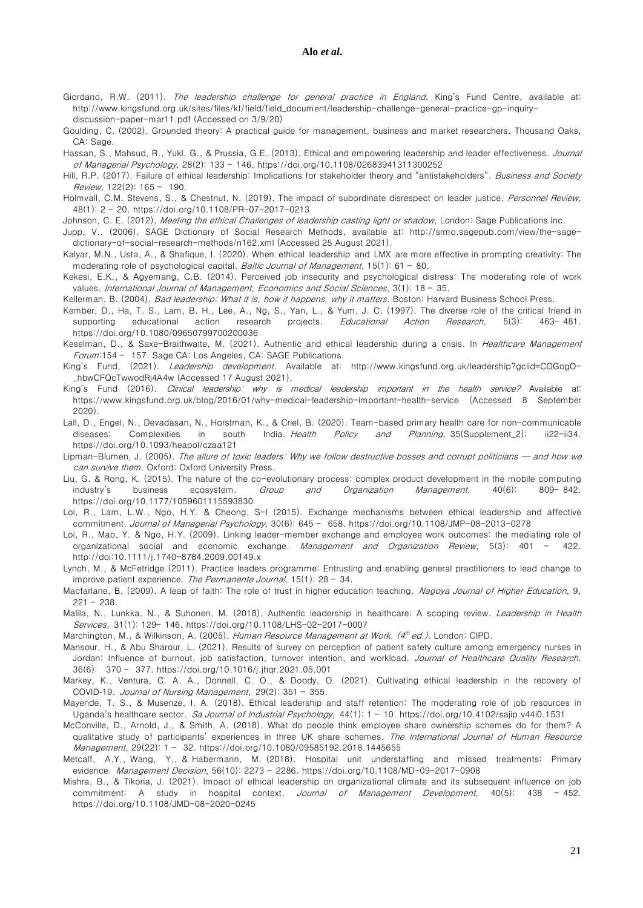- Giordano, R.W. (2011). The leadership challenge for general practice in England. King's Fund Centre, available at: [http://www.kingsfund.org.uk/sites/files/kf/field/field\\_document/leadership-challenge-general-practice-gp-inquiry](http://www.kingsfund.org.uk/sites/files/kf/field/field_document/leadership-challenge-general-practice-gp-inquiry-discussion-paper-mar11.pdf)[discussion-paper-mar11.pdf](http://www.kingsfund.org.uk/sites/files/kf/field/field_document/leadership-challenge-general-practice-gp-inquiry-discussion-paper-mar11.pdf) (Accessed on 3/9/20)
- Goulding, C. (2002). Grounded theory: A practical guide for management, business and market researchers. Thousand Oaks, CA: Sage
- Hassan, S., Mahsud, R., Yukl, G., & Prussia, G.E. (2013). Ethical and empowering leadership and leader effectiveness. Journal of Managerial Psychology, 28(2): 133 – 146. <https://doi.org/10.1108/02683941311300252>
- Hill, R.P. (2017). Failure of ethical leadership: Implications for stakeholder theory and "antistakeholders". Business and Society Review, 122(2): 165 – 190.
- Holmvall, C.M. Stevens, S., & Chestnut, N. (2019). The impact of subordinate disrespect on leader justice. Personnel Review, 48(1): 2 – 20. <https://doi.org/10.1108/PR-07-2017-0213>
- Johnson, C. E. (2012), Meeting the ethical Challenges of leadership casting light or shadow, London: Sage Publications Inc.
- Jupp, V., (2006). SAGE Dictionary of Social Research Methods, available at: [http://srmo.sagepub.com/view/the-sage](http://srmo.sagepub.com/view/the-sage-dictionary-of-social-research-methods/n162.xml)[dictionary-of-social-research-methods/n162.xml](http://srmo.sagepub.com/view/the-sage-dictionary-of-social-research-methods/n162.xml) (Accessed 25 August 2021).
- Kalyar, M.N., Usta, A., & Shafique, I. (2020). When ethical leadership and LMX are more effective in prompting creativity: The moderating role of psychological capital. Baltic Journal of Management, 15(1): 61 - 80.
- Kekesi, E.K., & Agyemang, C.B. (2014). Perceived job insecurity and psychological distress: The moderating role of work values. International Journal of Management, Economics and Social Sciences, 3(1): 18 - 35.
- Kellerman, B. (2004). Bad leadership: What it is, how it happens, why it matters. Boston: Harvard Business School Press.
- Kember, D., Ha, T. S., Lam, B. H., Lee, A., Ng, S., Yan, L., & Yum, J. C. (1997). The diverse role of the critical friend in supporting educational action research projects. Educational Action Research, 5(3): 463-481. <https://doi.org/10.1080/09650799700200036>
- Keselman, D., & Saxe-Braithwaite, M. (2021). Authentic and ethical leadership during a crisis. In Healthcare Management Forum:154 – 157. Sage CA: Los Angeles, CA: SAGE Publications.
- King's Fund, (2021). Leadership development. Available at: [http://www.kingsfund.org.uk/leadership?gclid=COGogO-](http://www.kingsfund.org.uk/leadership?gclid=COGogO-_hbwCFQcTwwodRj4A4w) [\\_hbwCFQcTwwodRj4A4w](http://www.kingsfund.org.uk/leadership?gclid=COGogO-_hbwCFQcTwwodRj4A4w) (Accessed 17 August 2021).
- King's Fund (2016). Clinical leadership: why is medical leadership important in the health service? Available at: <https://www.kingsfund.org.uk/blog/2016/01/why-medical-leadership-important-health-service> (Accessed 8 September 2020).
- Lall, D., Engel, N., Devadasan, N., Horstman, K., & Criel, B. (2020). Team-based primary health care for non-communicable diseases: Complexities in south India. Health Policy and Planning, 35(Supplement\_2): ii22-ii34. <https://doi.org/10.1093/heapol/czaa121>
- Lipman-Blumen, J. (2005). The allure of toxic leaders: Why we follow destructive bosses and corrupt politicians and how we can survive them. Oxford: Oxford University Press.
- Liu, G. & Rong, K. (2015). The nature of the co-evolutionary process: complex product development in the mobile computing industry's business ecosystem. Group and Organization Management, 40(6): 809-842. <https://doi.org/10.1177/1059601115593830>
- Loi, R., Lam, L.W., Ngo, H.Y. & Cheong, S-I (2015). Exchange mechanisms between ethical leadership and affective commitment. Journal of Managerial Psychology, 30(6): 645 – 658. <https://doi.org/10.1108/JMP-08-2013-0278>
- Loi, R., Mao, Y. & Ngo, H.Y. (2009). Linking leader-member exchange and employee work outcomes: the mediating role of organizational social and economic exchange. Management and Organization Review, 5(3): 401 - 422. <http://doi:10.1111/j.1740-8784.2009.00149.x>
- Lynch, M., & McFetridge (2011). Practice leaders programme: Entrusting and enabling general practitioners to lead change to improve patient experience. The Permanente Journal,  $15(1)$ : 28 - 34.
- Macfarlane, B. (2009). A leap of faith: The role of trust in higher education teaching. Nagoya Journal of Higher Education, 9, 221 – 238.
- Malila, N., Lunkka, N., & Suhonen, M. (2018). Authentic leadership in healthcare: A scoping review. Leadership in Health Services, 31(1): 129– 146. <https://doi.org/10.1108/LHS-02-2017-0007>
- Marchington, M., & Wilkinson, A. (2005). *Human Resource Management at Work. (4<sup>th</sup> ed.).* London: CIPD.
- Mansour, H., & Abu Sharour, L. (2021). Results of survey on perception of patient safety culture among emergency nurses in Jordan: Influence of burnout, job satisfaction, turnover intention, and workload. [Journal of Healthcare Quality Research,](https://www.sciencedirect.com/science/journal/26036479) 36(6): 370 – 377. <https://doi.org/10.1016/j.jhqr.2021.05.001>
- Markey, K., Ventura, C. A. A., Donnell, C. O., & Doody, O. (2021). Cultivating ethical leadership in the recovery of COVID‐19. Journal of Nursing Management, 29(2): 351 – 355.
- Mayende, T. S., & Musenze, I. A. (2018). Ethical leadership and staff retention: The moderating role of job resources in Uganda's healthcare sector. Sa Journal of Industrial Psychology, 44(1): 1 - 10.<https://doi.org/10.4102/sajip.v44i0.1531>
- McConville, D., Arnold, J., & Smith, A. (2018). What do people think employee share ownership schemes do for them? A qualitative study of participants' experiences in three UK share schemes. The International Journal of Human Resource Management, 29(22): 1 – 32. <https://doi.org/10.1080/09585192.2018.1445655>
- [Metcalf, A.Y.,](https://www.emerald.com/insight/search?q=Ashley%20Y.%20Metcalf) [Wang, Y.,](https://www.emerald.com/insight/search?q=Yong%20Wang) & [Habermann,](https://www.emerald.com/insight/search?q=Marco%20Habermann) M. (2018). Hospital unit understaffing and missed treatments: Primary evidence. [Management Decision](https://www.emerald.com/insight/publication/issn/0025-1747), 56(10): 2273 – 2286. <https://doi.org/10.1108/MD-09-2017-0908>
- Mishra, B., & Tikoria, J. (2021). Impact of ethical leadership on organizational climate and its subsequent influence on job commitment: A study in hospital context. Journal of Management Development, 40(5): 438 - 452. <https://doi.org/10.1108/JMD-08-2020-0245>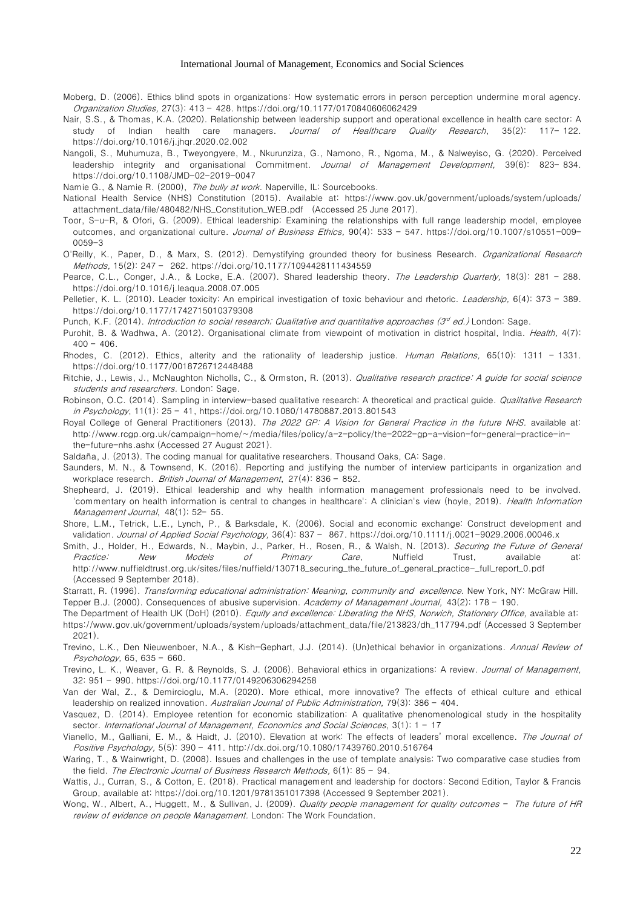- Moberg, D. (2006). Ethics blind spots in organizations: How systematic errors in person perception undermine moral agency. Organization Studies, 27(3): 413 – 428. <https://doi.org/10.1177/0170840606062429>
- Nair, S.S., & Thomas, K.A. (2020). Relationship between leadership support and operational excellence in health care sector: A study of Indian health care managers. Journal of Healthcare Quality Research, 35(2): 117-122. https://doi.org[/10.1016/j.jhqr.2020.02.002](https://www.elsevier.es/en-revista-journal-healthcare-quality-research-257-articulo-relationship-between-leadership-support-operational-S2603647920300269)
- Nangoli, S., Muhumuza, B., Tweyongyere, M., Nkurunziza, G., Namono, R., Ngoma, M., & Nalweyiso, G. (2020). Perceived leadership integrity and organisational Commitment. Journal of Management Development, 39(6): 823-834. <https://doi.org/10.1108/JMD-02-2019-0047>
- Namie G., & Namie R. (2000), The bully at work. Naperville, IL: Sourcebooks.
- National Health Service (NHS) Constitution (2015). Available at: [https://www.gov.uk/government/uploads/system/uploads/](https://www.gov.uk/government/uploads/system/uploads/%20attachment_data/file/480482/NHS_Constitution_WEB.pdf%20%20%20(Accessed%2025%20June%202017) [attachment\\_data/file/480482/NHS\\_Constitution\\_WEB.pdf \(Accessed 25 June 2017\)](https://www.gov.uk/government/uploads/system/uploads/%20attachment_data/file/480482/NHS_Constitution_WEB.pdf%20%20%20(Accessed%2025%20June%202017).
- Toor, S-u-R, & Ofori, G. (2009). Ethical leadership: Examining the relationships with full range leadership model, employee outcomes, and organizational culture. Journal of Business Ethics, 90(4): 533 - 547. [https://doi.org/10.1007/s10551-009-](https://doi.org/10.1007/s10551-009-0059-3) [0059-3](https://doi.org/10.1007/s10551-009-0059-3)
- O'Reilly, K., Paper, D., & Marx, S. (2012). Demystifying grounded theory for business Research. Organizational Research Methods, 15(2): 247 – 262. <https://doi.org/10.1177/1094428111434559>
- Pearce, C.L., Conger, J.A., & Locke, E.A. (2007). Shared leadership theory. The Leadership Quarterly, 18(3): 281 288. <https://doi.org/10.1016/j.leaqua.2008.07.005>
- Pelletier, K. L. (2010). Leader toxicity: An empirical investigation of toxic behaviour and rhetoric. Leadership, 6(4): 373 389. [https://doi.org/10.1177/1742715010379308](https://doi.org/10.1177%2F1742715010379308)
- Punch, K.F. (2014). *Introduction to social research; Qualitative and quantitative approaches (3<sup>d</sup> ed.) London: Sage.*
- Purohit, B. & Wadhwa, A. (2012). Organisational climate from viewpoint of motivation in district hospital, India. Health, 4(7):  $400 - 406$
- Rhodes, C. (2012). Ethics, alterity and the rationality of leadership justice. Human Relations, 65(10): 1311 1331. [https://doi.org/10.1177/0018726712448488](https://doi.org/10.1177%2F0018726712448488)
- Ritchie, J., Lewis, J., McNaughton Nicholls, C., & Ormston, R. (2013). Qualitative research practice: A guide for social science students and researchers. London: Sage.
- Robinson, O.C. (2014). Sampling in interview-based qualitative research: A theoretical and practical guide. Qualitative Research in Psychology, 11(1): 25 – 41, https://doi.org/10.1080/14780887.2013.801543
- Royal College of General Practitioners (2013). The 2022 GP: A Vision for General Practice in the future NHS. available at: [http://www.rcgp.org.uk/campaign-home/~/media/files/policy/a-z-policy/the-2022-gp-a-vision-for-general-practice-in](http://www.rcgp.org.uk/campaign-home/~/media/files/policy/a-z-policy/the-2022-gp-a-vision-for-general-practice-in-the-future-nhs.ashx)[the-future-nhs.ashx](http://www.rcgp.org.uk/campaign-home/~/media/files/policy/a-z-policy/the-2022-gp-a-vision-for-general-practice-in-the-future-nhs.ashx) (Accessed 27 August 2021).
- Saldaña, J. (2013). The coding manual for qualitative researchers. Thousand Oaks, CA: Sage.
- Saunders, M. N., & Townsend, K. (2016). Reporting and justifying the number of interview participants in organization and workplace research. British Journal of Management, 27(4): 836 - 852.
- Shepheard, J. (2019). Ethical leadership and why health information management professionals need to be involved. 'commentary on health information is central to changes in healthcare': A clinician's view (hoyle, 2019). Health Information Management Journal, 48(1): 52– 55.
- Shore, L.M., Tetrick, L.E., Lynch, P., & Barksdale, K. (2006). Social and economic exchange: Construct development and validation. Journal of Applied Social Psychology, 36(4): 837 - 867. <https://doi.org/10.1111/j.0021-9029.2006.00046.x>
- Smith, J., Holder, H., Edwards, N., Maybin, J., Parker, H., Rosen, R., & Walsh, N. (2013). Securing the Future of General Practice: New Models of Primary Care, Nuffield Trust, available at: [http://www.nuffieldtrust.org.uk/sites/files/nuffield/130718\\_securing\\_the\\_future\\_of\\_general\\_practice-\\_full\\_report\\_0.pdf](http://www.nuffieldtrust.org.uk/sites/files/nuffield/130718_securing_the_future_of_general_practice-_full_report_0.pdf) (Accessed 9 September 2018).
- Starratt, R. (1996). Transforming educational administration: Meaning, community and excellence. New York, NY: McGraw Hill. Tepper B.J. (2000). Consequences of abusive supervision. Academy of Management Journal, 43(2): 178 - 190.
- The Department of Health UK (DoH) (2010). Equity and excellence: Liberating the NHS, Norwich, Stationery Office, available at:
- [https://www.gov.uk/government/uploads/system/uploads/attachment\\_data/file/213823/dh\\_117794.pdf](https://www.gov.uk/government/uploads/system/uploads/attachment_data/file/213823/dh_117794.pdf) (Accessed 3 September 2021).
- Trevino, L.K., Den Nieuwenboer, N.A., & Kish-Gephart, J.J. (2014). (Un)ethical behavior in organizations. Annual Review of Psychology, 65, 635 – 660.
- Trevino, L. K., Weaver, G. R. & Reynolds, S. J. (2006). Behavioral ethics in organizations: A review. Journal of Management, 32: 951 – 990. https://doi.org/10.1177/0149206306294258
- Van der Wal, Z., & Demircioglu, M.A. (2020). More ethical, more innovative? The effects of ethical culture and ethical leadership on realized innovation. Australian Journal of Public Administration, 79(3): 386 - 404.
- Vasquez, D. (2014). Employee retention for economic stabilization: A qualitative phenomenological study in the hospitality sector. International Journal of Management, Economics and Social Sciences, 3(1): 1 - 17
- Vianello, M., Galliani, E. M., & Haidt, J. (2010). Elevation at work: The effects of leaders' moral excellence. The Journal of Positive Psychology, 5(5): 390 – 411. <http://dx.doi.org/10.1080/17439760.2010.516764>
- Waring, T., & Wainwright, D. (2008). Issues and challenges in the use of template analysis: Two comparative case studies from the field. The Electronic Journal of Business Research Methods, 6(1): 85 - 94.
- Wattis, J., Curran, S., & Cotton, E. (2018). Practical management and leadership for doctors: Second Edition, Taylor & Francis Group, available at: https://doi.org/10.1201/9781351017398 (Accessed 9 September 2021).
- Wong, W., Albert, A., Huggett, M., & Sullivan, J. (2009). Quality people management for quality outcomes The future of HR review of evidence on people Management. London: The Work Foundation.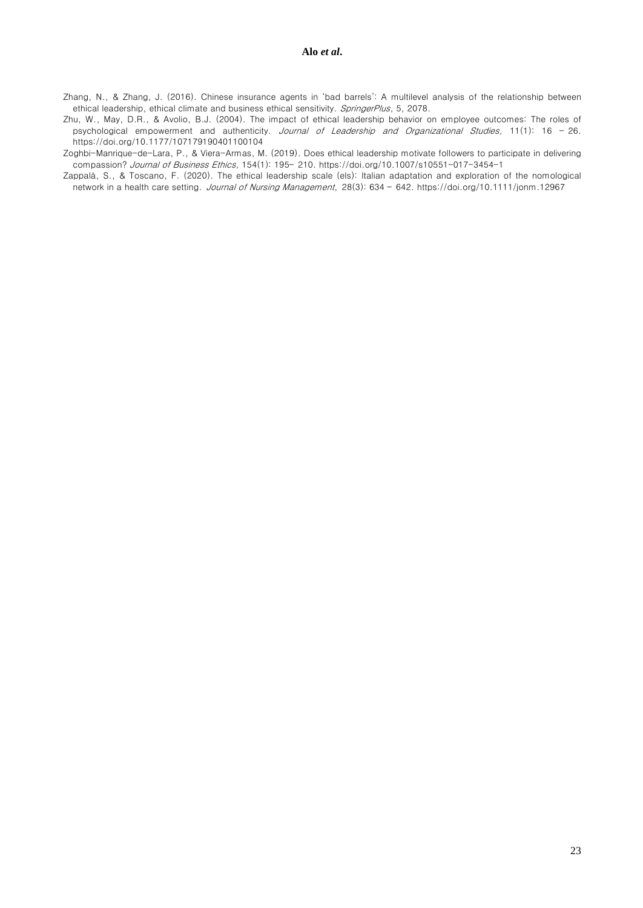Zhang, N., & Zhang, J. (2016). Chinese insurance agents in 'bad barrels': A multilevel analysis of the relationship between ethical leadership, ethical climate and business ethical sensitivity. SpringerPlus, 5, 2078.

Zhu, W., May, D.R., & Avolio, B.J. (2004). The impact of ethical leadership behavior on employee outcomes: The roles of psychological empowerment and authenticity. Journal of Leadership and Organizational Studies, 11(1): 16 - 26. <https://doi.org/10.1177/107179190401100104>

Zoghbi-Manrique-de-Lara, P., & Viera-Armas, M. (2019). Does ethical leadership motivate followers to participate in delivering compassion? Journal of Business Ethics, 154(1): 195– 210. https://doi.org/10.1007/s10551-017-3454-1

Zappalà, S., & Toscano, F. (2020). The ethical leadership scale (els): Italian adaptation and exploration of the nomological network in a health care setting. Journal of Nursing Management, 28(3): 634 – 642.<https://doi.org/10.1111/jonm.12967>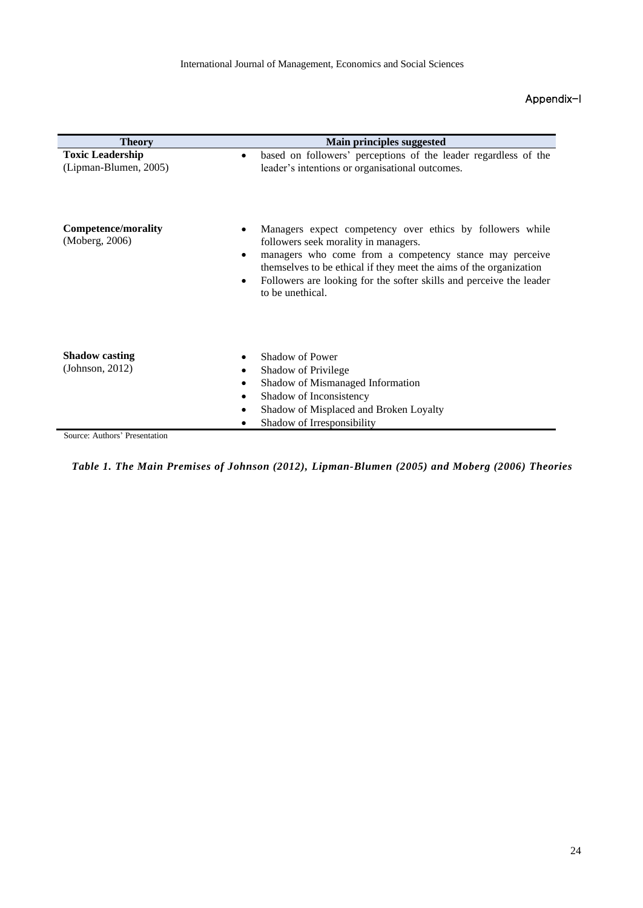# Appendix-I

| <b>Theory</b>                                    | Main principles suggested                                                                                                                                                                                                                                                                                                     |  |  |  |  |
|--------------------------------------------------|-------------------------------------------------------------------------------------------------------------------------------------------------------------------------------------------------------------------------------------------------------------------------------------------------------------------------------|--|--|--|--|
| <b>Toxic Leadership</b><br>(Lipman-Blumen, 2005) | based on followers' perceptions of the leader regardless of the<br>leader's intentions or organisational outcomes.                                                                                                                                                                                                            |  |  |  |  |
| Competence/morality<br>(Moberg, 2006)            | Managers expect competency over ethics by followers while<br>followers seek morality in managers.<br>managers who come from a competency stance may perceive<br>themselves to be ethical if they meet the aims of the organization<br>Followers are looking for the softer skills and perceive the leader<br>to be unethical. |  |  |  |  |
| <b>Shadow</b> casting<br>(Johnson, 2012)         | Shadow of Power<br>Shadow of Privilege<br>Shadow of Mismanaged Information<br>Shadow of Inconsistency<br>Shadow of Misplaced and Broken Loyalty<br>Shadow of Irresponsibility                                                                                                                                                 |  |  |  |  |

Source: Authors' Presentation

*Table 1. The Main Premises of Johnson (2012), Lipman-Blumen (2005) and Moberg (2006) Theories*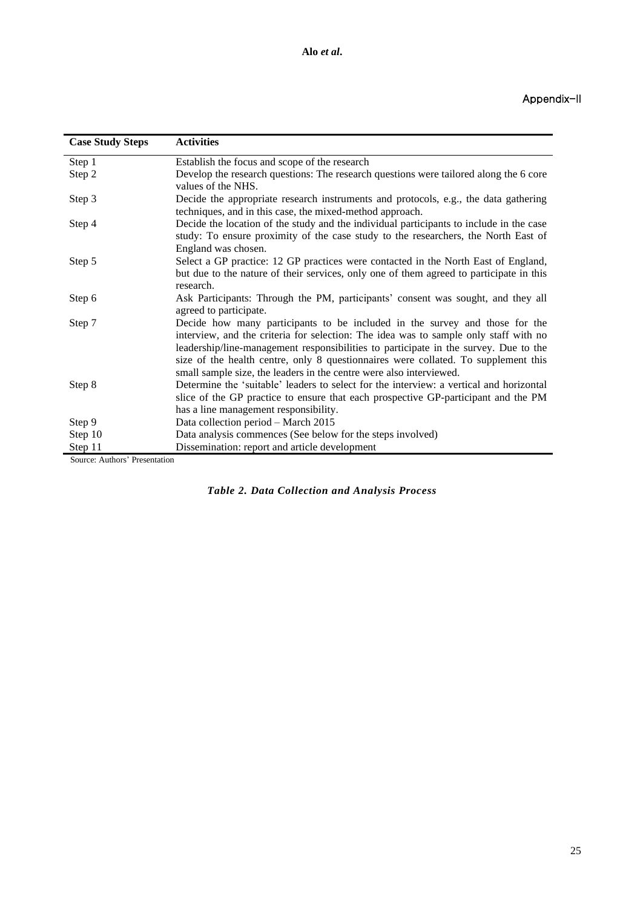| <b>Case Study Steps</b>                 | <b>Activities</b>                                                                                                                                                                                                                                                                                                                                                                                                        |
|-----------------------------------------|--------------------------------------------------------------------------------------------------------------------------------------------------------------------------------------------------------------------------------------------------------------------------------------------------------------------------------------------------------------------------------------------------------------------------|
| Step 1                                  | Establish the focus and scope of the research                                                                                                                                                                                                                                                                                                                                                                            |
| Step 2                                  | Develop the research questions: The research questions were tailored along the 6 core<br>values of the NHS.                                                                                                                                                                                                                                                                                                              |
| Step 3                                  | Decide the appropriate research instruments and protocols, e.g., the data gathering<br>techniques, and in this case, the mixed-method approach.                                                                                                                                                                                                                                                                          |
| Step 4                                  | Decide the location of the study and the individual participants to include in the case<br>study: To ensure proximity of the case study to the researchers, the North East of<br>England was chosen.                                                                                                                                                                                                                     |
| Step 5                                  | Select a GP practice: 12 GP practices were contacted in the North East of England,<br>but due to the nature of their services, only one of them agreed to participate in this<br>research.                                                                                                                                                                                                                               |
| Step 6                                  | Ask Participants: Through the PM, participants' consent was sought, and they all<br>agreed to participate.                                                                                                                                                                                                                                                                                                               |
| Step 7                                  | Decide how many participants to be included in the survey and those for the<br>interview, and the criteria for selection: The idea was to sample only staff with no<br>leadership/line-management responsibilities to participate in the survey. Due to the<br>size of the health centre, only 8 questionnaires were collated. To supplement this<br>small sample size, the leaders in the centre were also interviewed. |
| Step 8                                  | Determine the 'suitable' leaders to select for the interview: a vertical and horizontal<br>slice of the GP practice to ensure that each prospective GP-participant and the PM<br>has a line management responsibility.                                                                                                                                                                                                   |
| Step 9                                  | Data collection period - March 2015                                                                                                                                                                                                                                                                                                                                                                                      |
| Step 10                                 | Data analysis commences (See below for the steps involved)                                                                                                                                                                                                                                                                                                                                                               |
| Step 11<br>Course Authors' Dresentation | Dissemination: report and article development                                                                                                                                                                                                                                                                                                                                                                            |

Source: Authors' Presentation

|  | Table 2. Data Collection and Analysis Process |  |  |
|--|-----------------------------------------------|--|--|
|  |                                               |  |  |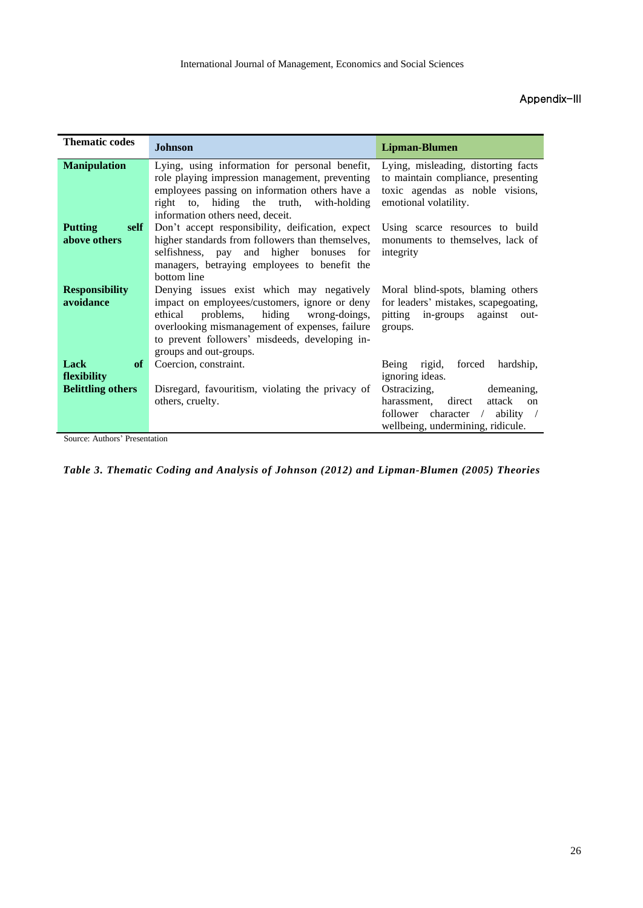# Appendix-III

| <b>Thematic codes</b>                  | <b>Johnson</b>                                                                                                                                                                                                                                                        | <b>Lipman-Blumen</b>                                                                                                                                            |
|----------------------------------------|-----------------------------------------------------------------------------------------------------------------------------------------------------------------------------------------------------------------------------------------------------------------------|-----------------------------------------------------------------------------------------------------------------------------------------------------------------|
| <b>Manipulation</b>                    | Lying, using information for personal benefit,<br>role playing impression management, preventing<br>employees passing on information others have a<br>right to, hiding the truth, with-holding<br>information others need, deceit.                                    | Lying, misleading, distorting facts<br>to maintain compliance, presenting<br>toxic agendas as noble visions,<br>emotional volatility.                           |
| <b>Putting</b><br>self<br>above others | Don't accept responsibility, deification, expect<br>higher standards from followers than themselves,<br>selfishness, pay and higher bonuses for<br>managers, betraying employees to benefit the<br>bottom line                                                        | Using scarce resources to build<br>monuments to themselves, lack of<br>integrity                                                                                |
| <b>Responsibility</b><br>avoidance     | Denying issues exist which may negatively<br>impact on employees/customers, ignore or deny<br>hiding wrong-doings,<br>ethical problems,<br>overlooking mismanagement of expenses, failure<br>to prevent followers' misdeeds, developing in-<br>groups and out-groups. | Moral blind-spots, blaming others<br>for leaders' mistakes, scapegoating,<br>pitting in-groups against out-<br>groups.                                          |
| Lack<br>of<br>flexibility              | Coercion, constraint.                                                                                                                                                                                                                                                 | Being rigid,<br>forced<br>hardship,<br>ignoring ideas.                                                                                                          |
| <b>Belittling others</b>               | Disregard, favouritism, violating the privacy of<br>others, cruelty.                                                                                                                                                                                                  | demeaning,<br>Ostracizing,<br>direct<br>harassment,<br>attack<br>$\alpha$<br>follower character /<br>ability<br>$\sqrt{2}$<br>wellbeing, undermining, ridicule. |

Source: Authors' Presentation

*Table 3. Thematic Coding and Analysis of Johnson (2012) and Lipman-Blumen (2005) Theories*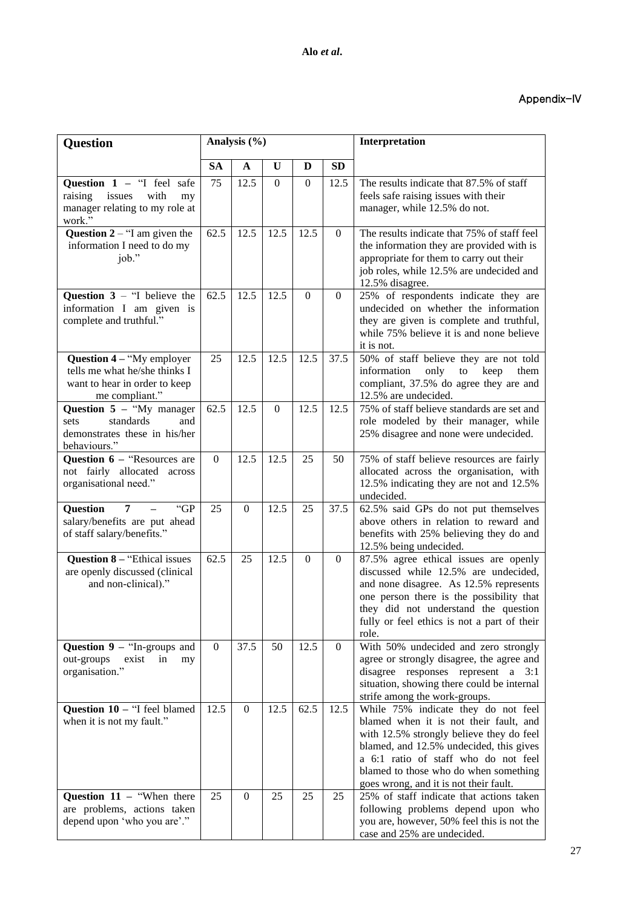# Appendix-IV

| Question                                                                                                      | Analysis (%) |                  |                   |                  |                  | Interpretation                                                                                                                                                                                                                                                                                  |
|---------------------------------------------------------------------------------------------------------------|--------------|------------------|-------------------|------------------|------------------|-------------------------------------------------------------------------------------------------------------------------------------------------------------------------------------------------------------------------------------------------------------------------------------------------|
|                                                                                                               | <b>SA</b>    | A                | U                 | D                | <b>SD</b>        |                                                                                                                                                                                                                                                                                                 |
| Question $1 -$ "I feel safe<br>raising<br>issues<br>with<br>my<br>manager relating to my role at<br>work."    | 75           | 12.5             | $\Omega$          | $\boldsymbol{0}$ | 12.5             | The results indicate that 87.5% of staff<br>feels safe raising issues with their<br>manager, while 12.5% do not.                                                                                                                                                                                |
| Question $2 -$ "I am given the<br>information I need to do my<br>job."                                        | 62.5         | 12.5             | 12.5              | 12.5             | $\overline{0}$   | The results indicate that 75% of staff feel<br>the information they are provided with is<br>appropriate for them to carry out their<br>job roles, while 12.5% are undecided and<br>12.5% disagree.                                                                                              |
| Question $3 -$ "I believe the<br>information I am given is<br>complete and truthful."                         | 62.5         | 12.5             | 12.5              | $\mathbf{0}$     | $\mathbf{0}$     | 25% of respondents indicate they are<br>undecided on whether the information<br>they are given is complete and truthful,<br>while 75% believe it is and none believe<br>it is not.                                                                                                              |
| Question 4 - "My employer<br>tells me what he/she thinks I<br>want to hear in order to keep<br>me compliant." | 25           | 12.5             | 12.5              | 12.5             | 37.5             | 50% of staff believe they are not told<br>information<br>only<br>them<br>to<br>keep<br>compliant, 37.5% do agree they are and<br>12.5% are undecided.                                                                                                                                           |
| Question $5 -$ "My manager<br>standards<br>and<br>sets<br>demonstrates these in his/her<br>behaviours."       | 62.5         | 12.5             | $\theta$          | 12.5             | 12.5             | 75% of staff believe standards are set and<br>role modeled by their manager, while<br>25% disagree and none were undecided.                                                                                                                                                                     |
| Question $6 -$ "Resources are<br>not fairly allocated across<br>organisational need."                         | $\mathbf{0}$ | 12.5             | 12.5              | 25               | 50               | 75% of staff believe resources are fairly<br>allocated across the organisation, with<br>12.5% indicating they are not and 12.5%<br>undecided.                                                                                                                                                   |
| "GP<br>Question<br>7<br>salary/benefits are put ahead<br>of staff salary/benefits."                           | 25           | $\overline{0}$   | $12.\overline{5}$ | 25               | 37.5             | 62.5% said GPs do not put themselves<br>above others in relation to reward and<br>benefits with 25% believing they do and<br>12.5% being undecided.                                                                                                                                             |
| <b>Question 8 – "Ethical issues</b><br>are openly discussed (clinical<br>and non-clinical)."                  | 62.5         | 25               | 12.5              | $\boldsymbol{0}$ | $\boldsymbol{0}$ | 87.5% agree ethical issues are openly<br>discussed while 12.5% are undecided,<br>and none disagree. As 12.5% represents<br>one person there is the possibility that<br>they did not understand the question<br>fully or feel ethics is not a part of their<br>role.                             |
| Question $9 -$ "In-groups and<br>out-groups<br>exist<br>in<br>my<br>organisation."                            | $\mathbf{0}$ | 37.5             | 50                | 12.5             | $\overline{0}$   | With 50% undecided and zero strongly<br>agree or strongly disagree, the agree and<br>disagree responses represent a 3:1<br>situation, showing there could be internal<br>strife among the work-groups.                                                                                          |
| Question 10 - "I feel blamed<br>when it is not my fault."                                                     | 12.5         | $\boldsymbol{0}$ | 12.5              | 62.5             | 12.5             | While 75% indicate they do not feel<br>blamed when it is not their fault, and<br>with 12.5% strongly believe they do feel<br>blamed, and 12.5% undecided, this gives<br>a 6:1 ratio of staff who do not feel<br>blamed to those who do when something<br>goes wrong, and it is not their fault. |
| Question $11 -$ "When there<br>are problems, actions taken<br>depend upon 'who you are'."                     | 25           | $\Omega$         | 25                | 25               | 25               | 25% of staff indicate that actions taken<br>following problems depend upon who<br>you are, however, 50% feel this is not the<br>case and 25% are undecided.                                                                                                                                     |